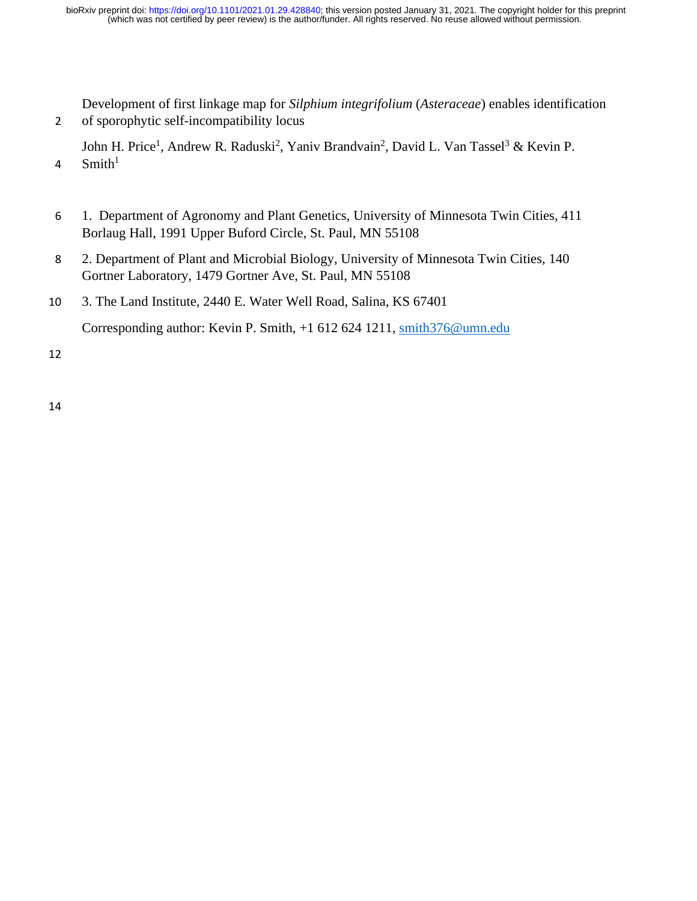Development of first linkage map for *Silphium integrifolium* (*Asteraceae*) enables identification 2 of sporophytic self-incompatibility locus

John H. Price<sup>1</sup>, Andrew R. Raduski<sup>2</sup>, Yaniv Brandvain<sup>2</sup>, David L. Van Tassel<sup>3</sup> & Kevin P.  $Smith<sup>1</sup>$ 4

- 6 1. Department of Agronomy and Plant Genetics, University of Minnesota Twin Cities, 411 Borlaug Hall, 1991 Upper Buford Circle, St. Paul, MN 55108
- 8 2. Department of Plant and Microbial Biology, University of Minnesota Twin Cities, 140 Gortner Laboratory, 1479 Gortner Ave, St. Paul, MN 55108
- 10 3. The Land Institute, 2440 E. Water Well Road, Salina, KS 67401

Corresponding author: Kevin P. Smith, +1 612 624 1211, [smith376@umn.edu](mailto:smith376@umn.edu)

12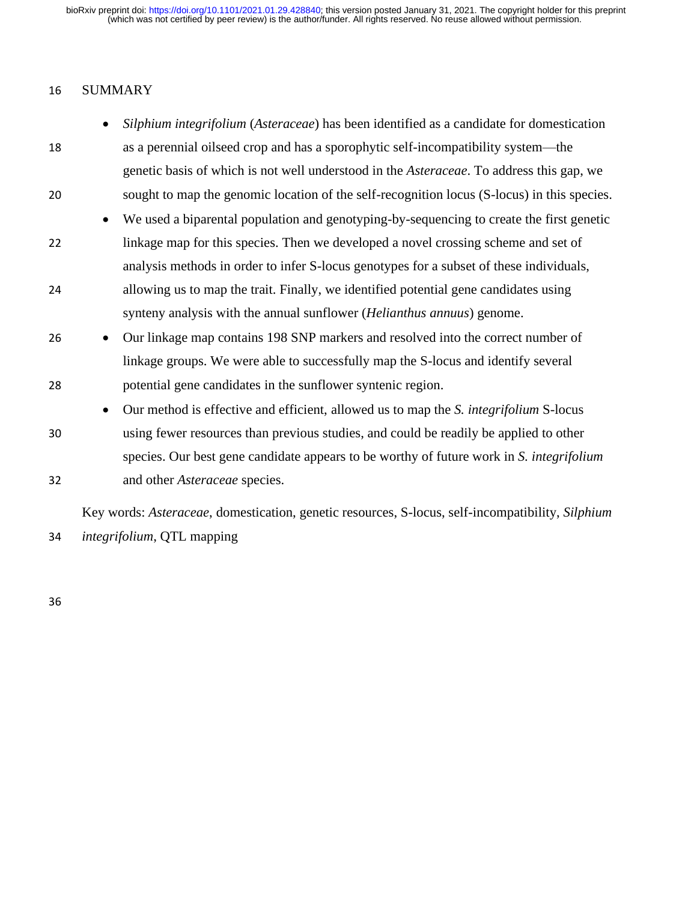## 16 SUMMARY

- *Silphium integrifolium* (*Asteraceae*) has been identified as a candidate for domestication 18 as a perennial oilseed crop and has a sporophytic self-incompatibility system—the genetic basis of which is not well understood in the *Asteraceae*. To address this gap, we 20 sought to map the genomic location of the self-recognition locus (S-locus) in this species.
- We used a biparental population and genotyping-by-sequencing to create the first genetic 22 linkage map for this species. Then we developed a novel crossing scheme and set of analysis methods in order to infer S-locus genotypes for a subset of these individuals, 24 allowing us to map the trait. Finally, we identified potential gene candidates using synteny analysis with the annual sunflower (*Helianthus annuus*) genome.
- 26 Our linkage map contains 198 SNP markers and resolved into the correct number of linkage groups. We were able to successfully map the S-locus and identify several 28 potential gene candidates in the sunflower syntenic region.
- Our method is effective and efficient, allowed us to map the *S. integrifolium* S-locus 30 using fewer resources than previous studies, and could be readily be applied to other species. Our best gene candidate appears to be worthy of future work in *S. integrifolium* 32 and other *Asteraceae* species.

Key words: *Asteraceae*, domestication, genetic resources, S-locus, self-incompatibility, *Silphium*  34 *integrifolium*, QTL mapping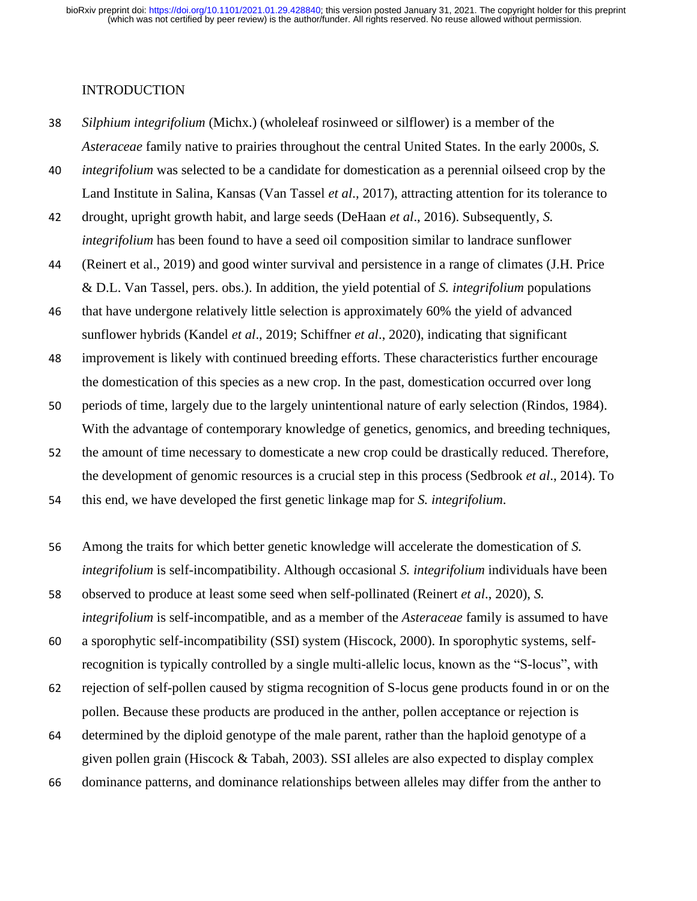### INTRODUCTION

- 38 *Silphium integrifolium* (Michx.) (wholeleaf rosinweed or silflower) is a member of the *Asteraceae* family native to prairies throughout the central United States. In the early 2000s, *S.*
- 40 *integrifolium* was selected to be a candidate for domestication as a perennial oilseed crop by the Land Institute in Salina, Kansas (Van Tassel *et al*.*,* 2017), attracting attention for its tolerance to
- 42 drought, upright growth habit, and large seeds (DeHaan *et al*., 2016). Subsequently, *S. integrifolium* has been found to have a seed oil composition similar to landrace sunflower
- 44 (Reinert et al., 2019) and good winter survival and persistence in a range of climates (J.H. Price & D.L. Van Tassel, pers. obs.). In addition, the yield potential of *S. integrifolium* populations
- 46 that have undergone relatively little selection is approximately 60% the yield of advanced sunflower hybrids (Kandel *et al*., 2019; Schiffner *et al*., 2020), indicating that significant
- 48 improvement is likely with continued breeding efforts. These characteristics further encourage the domestication of this species as a new crop. In the past, domestication occurred over long
- 50 periods of time, largely due to the largely unintentional nature of early selection (Rindos, 1984). With the advantage of contemporary knowledge of genetics, genomics, and breeding techniques,
- 52 the amount of time necessary to domesticate a new crop could be drastically reduced. Therefore, the development of genomic resources is a crucial step in this process (Sedbrook *et al*., 2014). To
- 54 this end, we have developed the first genetic linkage map for *S. integrifolium*.
- 56 Among the traits for which better genetic knowledge will accelerate the domestication of *S. integrifolium* is self-incompatibility. Although occasional *S. integrifolium* individuals have been
- 58 observed to produce at least some seed when self-pollinated (Reinert *et al*., 2020), *S. integrifolium* is self-incompatible, and as a member of the *Asteraceae* family is assumed to have
- 60 a sporophytic self-incompatibility (SSI) system (Hiscock, 2000). In sporophytic systems, selfrecognition is typically controlled by a single multi-allelic locus, known as the "S-locus", with
- 62 rejection of self-pollen caused by stigma recognition of S-locus gene products found in or on the pollen. Because these products are produced in the anther, pollen acceptance or rejection is
- 64 determined by the diploid genotype of the male parent, rather than the haploid genotype of a given pollen grain (Hiscock & Tabah, 2003). SSI alleles are also expected to display complex
- 66 dominance patterns, and dominance relationships between alleles may differ from the anther to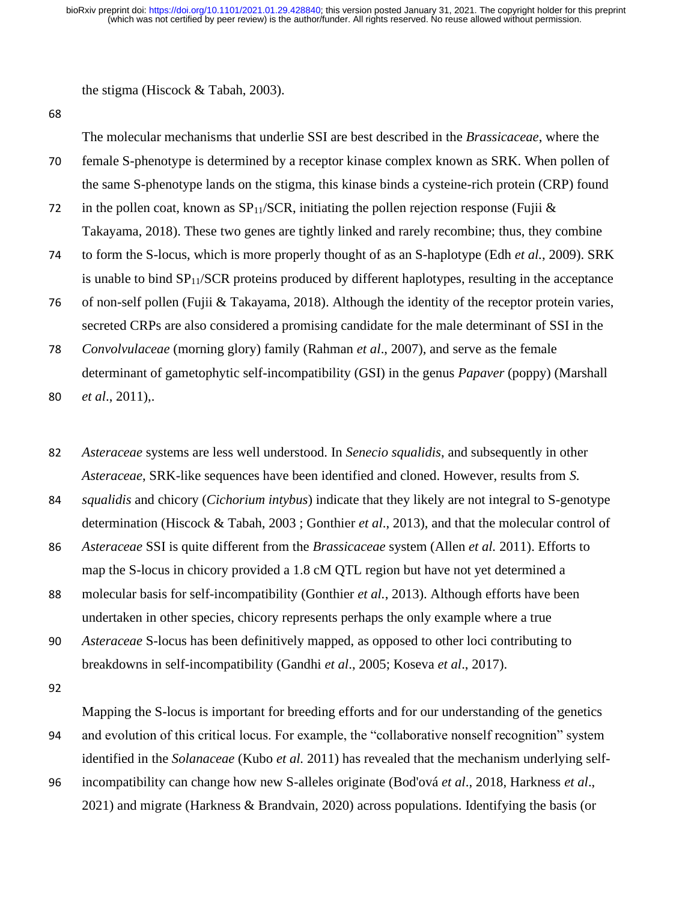the stigma (Hiscock & Tabah, 2003).

68

The molecular mechanisms that underlie SSI are best described in the *Brassicaceae*, where the 70 female S-phenotype is determined by a receptor kinase complex known as SRK. When pollen of the same S-phenotype lands on the stigma, this kinase binds a cysteine-rich protein (CRP) found

72 in the pollen coat, known as  $SP_{11}/SCR$ , initiating the pollen rejection response (Fujii  $\&$ Takayama, 2018). These two genes are tightly linked and rarely recombine; thus, they combine

74 to form the S-locus, which is more properly thought of as an S-haplotype (Edh *et al.*, 2009). SRK is unable to bind  $SP<sub>11</sub>/SCR$  proteins produced by different haplotypes, resulting in the acceptance

76 of non-self pollen (Fujii & Takayama, 2018). Although the identity of the receptor protein varies, secreted CRPs are also considered a promising candidate for the male determinant of SSI in the

78 *Convolvulaceae* (morning glory) family (Rahman *et al*., 2007), and serve as the female determinant of gametophytic self-incompatibility (GSI) in the genus *Papaver* (poppy) (Marshall

80 *et al*., 2011),.

82 *Asteraceae* systems are less well understood. In *Senecio squalidis*, and subsequently in other *Asteraceae*, SRK-like sequences have been identified and cloned. However, results from *S.* 

84 *squalidis* and chicory (*Cichorium intybus*) indicate that they likely are not integral to S-genotype determination (Hiscock & Tabah, 2003 ; Gonthier *et al*., 2013), and that the molecular control of

86 *Asteraceae* SSI is quite different from the *Brassicaceae* system (Allen *et al.* 2011). Efforts to map the S-locus in chicory provided a 1.8 cM QTL region but have not yet determined a

88 molecular basis for self-incompatibility (Gonthier *et al.*, 2013). Although efforts have been undertaken in other species, chicory represents perhaps the only example where a true

90 *Asteraceae* S-locus has been definitively mapped, as opposed to other loci contributing to breakdowns in self-incompatibility (Gandhi *et al*., 2005; Koseva *et al*., 2017).

92

Mapping the S-locus is important for breeding efforts and for our understanding of the genetics 94 and evolution of this critical locus. For example, the "collaborative nonself recognition" system identified in the *Solanaceae* (Kubo *et al.* 2011) has revealed that the mechanism underlying self-

96 incompatibility can change how new S-alleles originate (Bod'ová *et al*., 2018, Harkness *et al*., 2021) and migrate (Harkness & Brandvain, 2020) across populations. Identifying the basis (or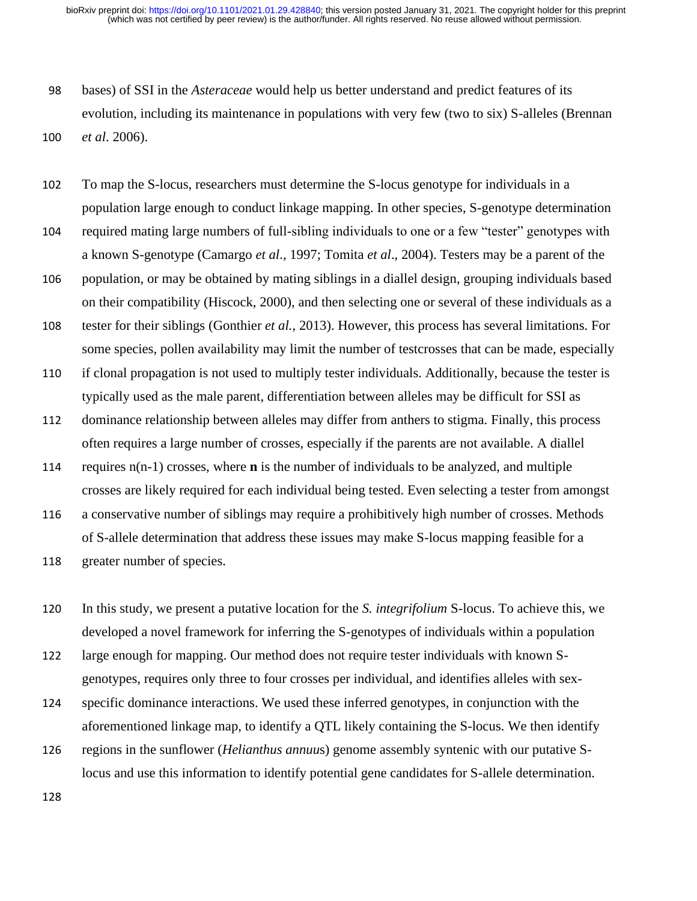- 98 bases) of SSI in the *Asteraceae* would help us better understand and predict features of its evolution, including its maintenance in populations with very few (two to six) S-alleles (Brennan 100 *et al*. 2006).
- 102 To map the S-locus, researchers must determine the S-locus genotype for individuals in a population large enough to conduct linkage mapping. In other species, S-genotype determination
- 104 required mating large numbers of full-sibling individuals to one or a few "tester" genotypes with a known S-genotype (Camargo *et al*., 1997; Tomita *et al*., 2004). Testers may be a parent of the
- 106 population, or may be obtained by mating siblings in a diallel design, grouping individuals based on their compatibility (Hiscock, 2000), and then selecting one or several of these individuals as a
- 108 tester for their siblings (Gonthier *et al.*, 2013). However, this process has several limitations. For some species, pollen availability may limit the number of testcrosses that can be made, especially
- 110 if clonal propagation is not used to multiply tester individuals. Additionally, because the tester is typically used as the male parent, differentiation between alleles may be difficult for SSI as
- 112 dominance relationship between alleles may differ from anthers to stigma. Finally, this process often requires a large number of crosses, especially if the parents are not available. A diallel
- 114 requires n(n-1) crosses, where **n** is the number of individuals to be analyzed, and multiple crosses are likely required for each individual being tested. Even selecting a tester from amongst
- 116 a conservative number of siblings may require a prohibitively high number of crosses. Methods of S-allele determination that address these issues may make S-locus mapping feasible for a 118 greater number of species.
- 120 In this study, we present a putative location for the *S. integrifolium* S-locus. To achieve this, we developed a novel framework for inferring the S-genotypes of individuals within a population
- 122 large enough for mapping. Our method does not require tester individuals with known Sgenotypes, requires only three to four crosses per individual, and identifies alleles with sex-
- 124 specific dominance interactions. We used these inferred genotypes, in conjunction with the aforementioned linkage map, to identify a QTL likely containing the S-locus. We then identify
- 126 regions in the sunflower (*Helianthus annuu*s) genome assembly syntenic with our putative Slocus and use this information to identify potential gene candidates for S-allele determination.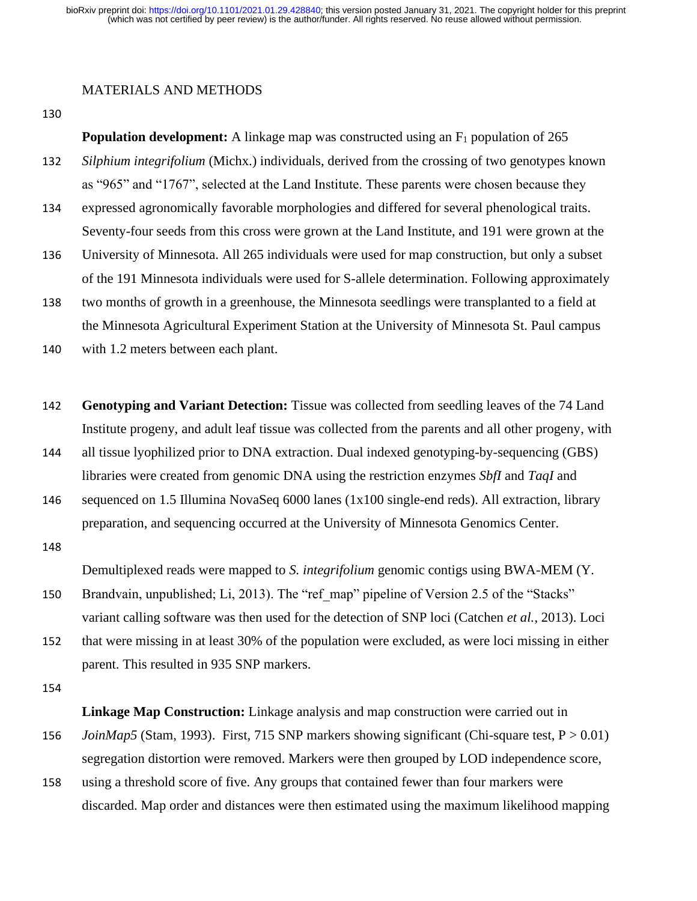### MATERIALS AND METHODS

130

**Population development:** A linkage map was constructed using an F<sub>1</sub> population of 265

- 132 *Silphium integrifolium* (Michx.) individuals, derived from the crossing of two genotypes known as "965" and "1767", selected at the Land Institute. These parents were chosen because they
- 134 expressed agronomically favorable morphologies and differed for several phenological traits. Seventy-four seeds from this cross were grown at the Land Institute, and 191 were grown at the
- 136 University of Minnesota. All 265 individuals were used for map construction, but only a subset of the 191 Minnesota individuals were used for S-allele determination. Following approximately
- 138 two months of growth in a greenhouse, the Minnesota seedlings were transplanted to a field at the Minnesota Agricultural Experiment Station at the University of Minnesota St. Paul campus
- 140 with 1.2 meters between each plant.
- 142 **Genotyping and Variant Detection:** Tissue was collected from seedling leaves of the 74 Land Institute progeny, and adult leaf tissue was collected from the parents and all other progeny, with
- 144 all tissue lyophilized prior to DNA extraction. Dual indexed genotyping-by-sequencing (GBS) libraries were created from genomic DNA using the restriction enzymes *SbfI* and *TaqI* and
- 146 sequenced on 1.5 Illumina NovaSeq 6000 lanes (1x100 single-end reds). All extraction, library preparation, and sequencing occurred at the University of Minnesota Genomics Center.

148

Demultiplexed reads were mapped to *S. integrifolium* genomic contigs using BWA-MEM (Y.

- 150 Brandvain, unpublished; Li, 2013). The "ref\_map" pipeline of Version 2.5 of the "Stacks" variant calling software was then used for the detection of SNP loci (Catchen *et al.*, 2013). Loci
- 152 that were missing in at least 30% of the population were excluded, as were loci missing in either parent. This resulted in 935 SNP markers.
- 154

**Linkage Map Construction:** Linkage analysis and map construction were carried out in

- 156 *JoinMap5* (Stam, 1993). First, 715 SNP markers showing significant (Chi-square test, P  $> 0.01$ ) segregation distortion were removed. Markers were then grouped by LOD independence score,
- 158 using a threshold score of five. Any groups that contained fewer than four markers were discarded. Map order and distances were then estimated using the maximum likelihood mapping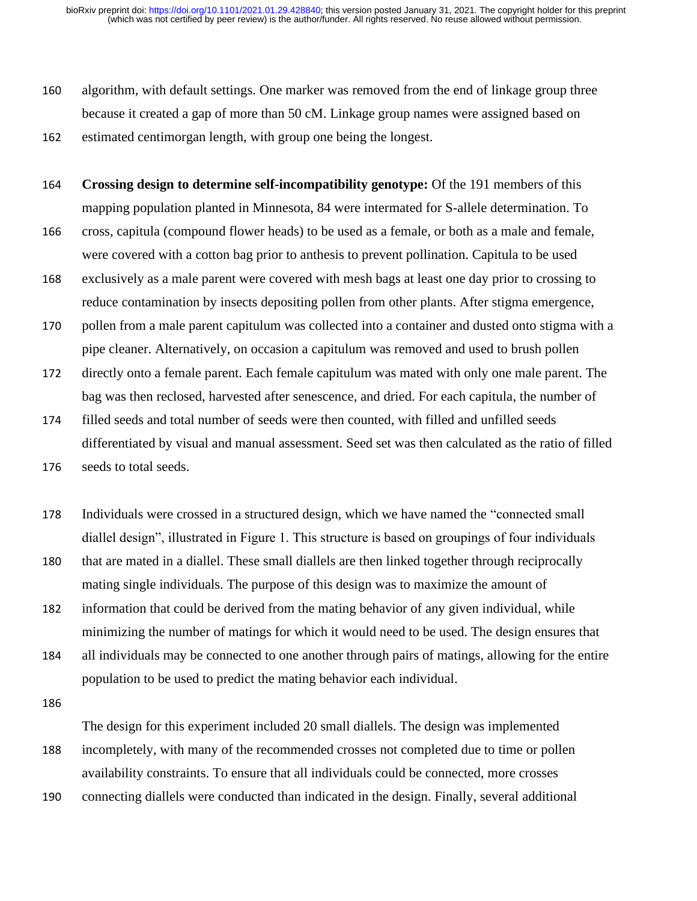- 160 algorithm, with default settings. One marker was removed from the end of linkage group three because it created a gap of more than 50 cM. Linkage group names were assigned based on
- 162 estimated centimorgan length, with group one being the longest.
- 164 **Crossing design to determine self-incompatibility genotype:** Of the 191 members of this mapping population planted in Minnesota, 84 were intermated for S-allele determination. To
- 166 cross, capitula (compound flower heads) to be used as a female, or both as a male and female, were covered with a cotton bag prior to anthesis to prevent pollination. Capitula to be used
- 168 exclusively as a male parent were covered with mesh bags at least one day prior to crossing to reduce contamination by insects depositing pollen from other plants. After stigma emergence,
- 170 pollen from a male parent capitulum was collected into a container and dusted onto stigma with a pipe cleaner. Alternatively, on occasion a capitulum was removed and used to brush pollen
- 172 directly onto a female parent. Each female capitulum was mated with only one male parent. The bag was then reclosed, harvested after senescence, and dried. For each capitula, the number of
- 174 filled seeds and total number of seeds were then counted, with filled and unfilled seeds differentiated by visual and manual assessment. Seed set was then calculated as the ratio of filled 176 seeds to total seeds.
- 178 Individuals were crossed in a structured design, which we have named the "connected small diallel design", illustrated in Figure 1. This structure is based on groupings of four individuals 180 that are mated in a diallel. These small diallels are then linked together through reciprocally mating single individuals. The purpose of this design was to maximize the amount of
- 182 information that could be derived from the mating behavior of any given individual, while minimizing the number of matings for which it would need to be used. The design ensures that
- 184 all individuals may be connected to one another through pairs of matings, allowing for the entire population to be used to predict the mating behavior each individual.
- 186

The design for this experiment included 20 small diallels. The design was implemented 188 incompletely, with many of the recommended crosses not completed due to time or pollen availability constraints. To ensure that all individuals could be connected, more crosses

190 connecting diallels were conducted than indicated in the design. Finally, several additional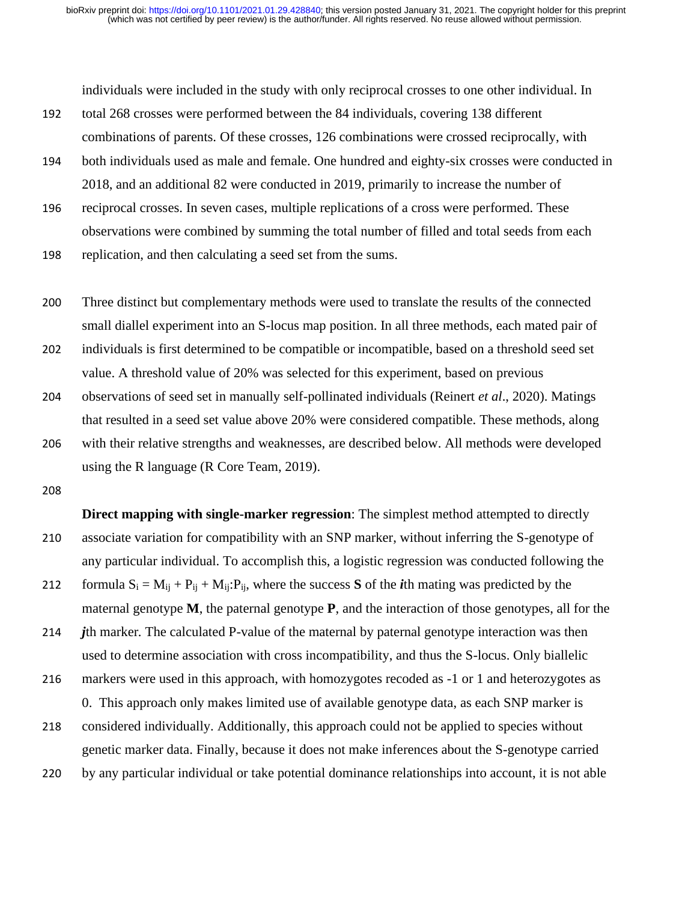individuals were included in the study with only reciprocal crosses to one other individual. In

- 192 total 268 crosses were performed between the 84 individuals, covering 138 different combinations of parents. Of these crosses, 126 combinations were crossed reciprocally, with
- 194 both individuals used as male and female. One hundred and eighty-six crosses were conducted in 2018, and an additional 82 were conducted in 2019, primarily to increase the number of
- 196 reciprocal crosses. In seven cases, multiple replications of a cross were performed. These observations were combined by summing the total number of filled and total seeds from each
- 198 replication, and then calculating a seed set from the sums.
- 200 Three distinct but complementary methods were used to translate the results of the connected small diallel experiment into an S-locus map position. In all three methods, each mated pair of
- 202 individuals is first determined to be compatible or incompatible, based on a threshold seed set value. A threshold value of 20% was selected for this experiment, based on previous
- 204 observations of seed set in manually self-pollinated individuals (Reinert *et al*., 2020). Matings that resulted in a seed set value above 20% were considered compatible. These methods, along
- 206 with their relative strengths and weaknesses, are described below. All methods were developed using the R language (R Core Team, 2019).
- 208

**Direct mapping with single-marker regression**: The simplest method attempted to directly 210 associate variation for compatibility with an SNP marker, without inferring the S-genotype of any particular individual. To accomplish this, a logistic regression was conducted following the 212 formula  $S_i = M_{ij} + P_{ij} + M_{ij}$ : P<sub>ij</sub>, where the success S of the *i*th mating was predicted by the maternal genotype **M**, the paternal genotype **P**, and the interaction of those genotypes, all for the 214 *j*th marker*.* The calculated P-value of the maternal by paternal genotype interaction was then used to determine association with cross incompatibility, and thus the S-locus. Only biallelic

216 markers were used in this approach, with homozygotes recoded as -1 or 1 and heterozygotes as 0. This approach only makes limited use of available genotype data, as each SNP marker is

- 218 considered individually. Additionally, this approach could not be applied to species without genetic marker data. Finally, because it does not make inferences about the S-genotype carried
- 220 by any particular individual or take potential dominance relationships into account, it is not able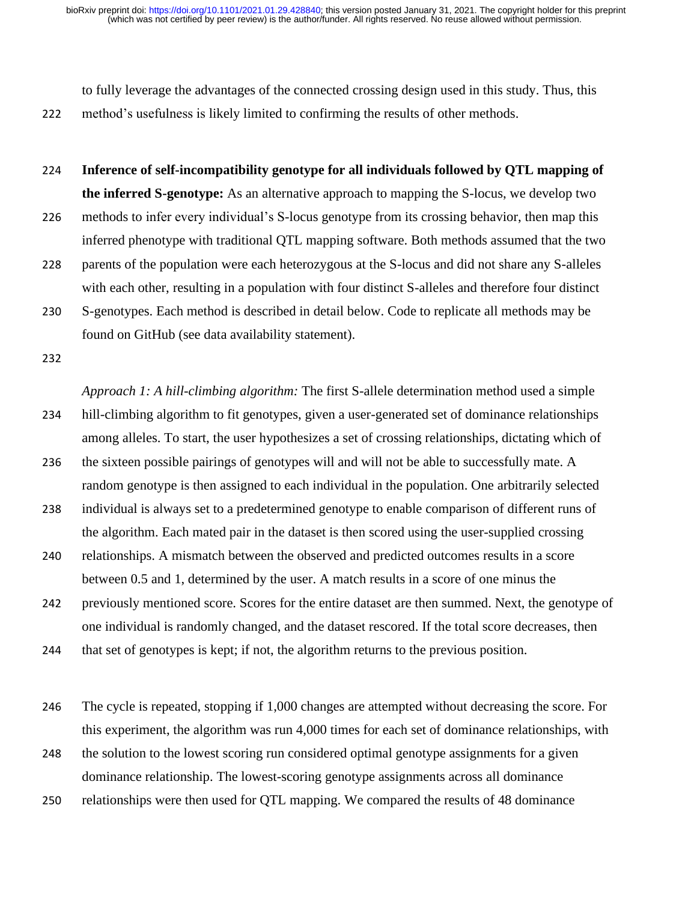to fully leverage the advantages of the connected crossing design used in this study. Thus, this 222 method's usefulness is likely limited to confirming the results of other methods.

224 **Inference of self-incompatibility genotype for all individuals followed by QTL mapping of the inferred S-genotype:** As an alternative approach to mapping the S-locus, we develop two

- 226 methods to infer every individual's S-locus genotype from its crossing behavior, then map this inferred phenotype with traditional QTL mapping software. Both methods assumed that the two
- 228 parents of the population were each heterozygous at the S-locus and did not share any S-alleles with each other, resulting in a population with four distinct S-alleles and therefore four distinct
- 230 S-genotypes. Each method is described in detail below. Code to replicate all methods may be found on GitHub (see data availability statement).
- 232

*Approach 1: A hill-climbing algorithm:* The first S-allele determination method used a simple 234 hill-climbing algorithm to fit genotypes, given a user-generated set of dominance relationships among alleles. To start, the user hypothesizes a set of crossing relationships, dictating which of 236 the sixteen possible pairings of genotypes will and will not be able to successfully mate. A random genotype is then assigned to each individual in the population. One arbitrarily selected 238 individual is always set to a predetermined genotype to enable comparison of different runs of the algorithm. Each mated pair in the dataset is then scored using the user-supplied crossing 240 relationships. A mismatch between the observed and predicted outcomes results in a score between 0.5 and 1, determined by the user. A match results in a score of one minus the 242 previously mentioned score. Scores for the entire dataset are then summed. Next, the genotype of one individual is randomly changed, and the dataset rescored. If the total score decreases, then

244 that set of genotypes is kept; if not, the algorithm returns to the previous position.

246 The cycle is repeated, stopping if 1,000 changes are attempted without decreasing the score. For this experiment, the algorithm was run 4,000 times for each set of dominance relationships, with

248 the solution to the lowest scoring run considered optimal genotype assignments for a given dominance relationship. The lowest-scoring genotype assignments across all dominance

250 relationships were then used for QTL mapping. We compared the results of 48 dominance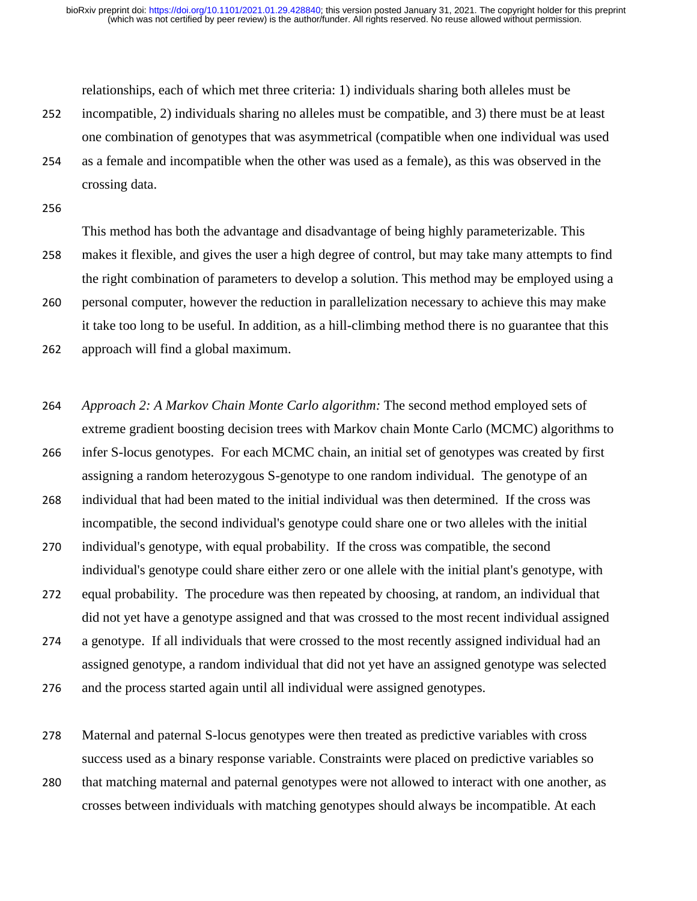relationships, each of which met three criteria: 1) individuals sharing both alleles must be

- 252 incompatible, 2) individuals sharing no alleles must be compatible, and 3) there must be at least one combination of genotypes that was asymmetrical (compatible when one individual was used
- 254 as a female and incompatible when the other was used as a female), as this was observed in the crossing data.
- 256

This method has both the advantage and disadvantage of being highly parameterizable. This 258 makes it flexible, and gives the user a high degree of control, but may take many attempts to find the right combination of parameters to develop a solution. This method may be employed using a 260 personal computer, however the reduction in parallelization necessary to achieve this may make it take too long to be useful. In addition, as a hill-climbing method there is no guarantee that this

262 approach will find a global maximum.

264 *Approach 2: A Markov Chain Monte Carlo algorithm:* The second method employed sets of extreme gradient boosting decision trees with Markov chain Monte Carlo (MCMC) algorithms to

- 266 infer S-locus genotypes. For each MCMC chain, an initial set of genotypes was created by first assigning a random heterozygous S-genotype to one random individual. The genotype of an
- 268 individual that had been mated to the initial individual was then determined. If the cross was incompatible, the second individual's genotype could share one or two alleles with the initial
- 270 individual's genotype, with equal probability. If the cross was compatible, the second individual's genotype could share either zero or one allele with the initial plant's genotype, with
- 272 equal probability. The procedure was then repeated by choosing, at random, an individual that did not yet have a genotype assigned and that was crossed to the most recent individual assigned
- 274 a genotype. If all individuals that were crossed to the most recently assigned individual had an assigned genotype, a random individual that did not yet have an assigned genotype was selected
- 276 and the process started again until all individual were assigned genotypes.
- 278 Maternal and paternal S-locus genotypes were then treated as predictive variables with cross success used as a binary response variable. Constraints were placed on predictive variables so
- 280 that matching maternal and paternal genotypes were not allowed to interact with one another, as crosses between individuals with matching genotypes should always be incompatible. At each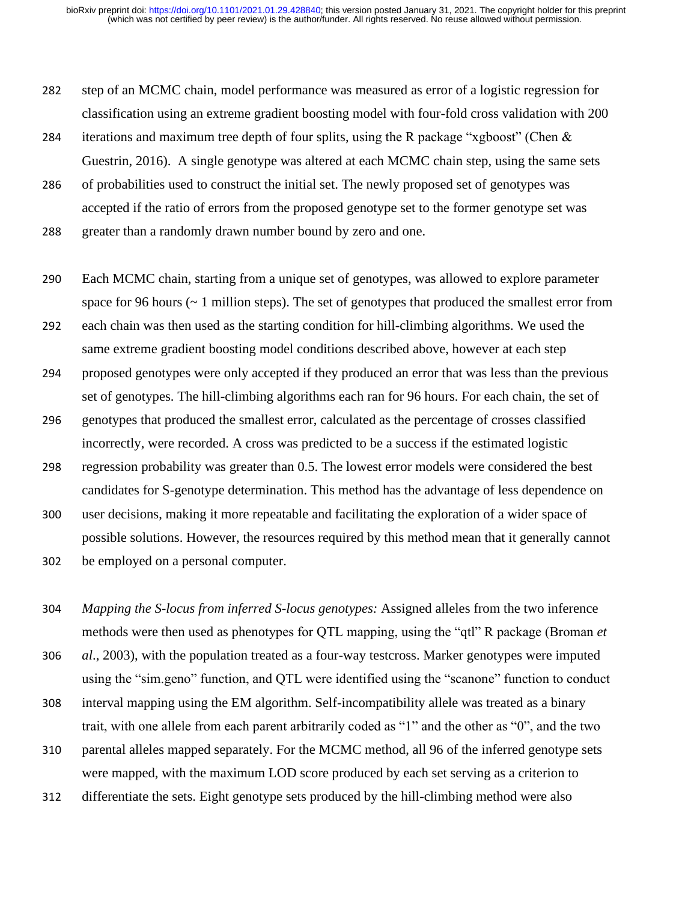- 282 step of an MCMC chain, model performance was measured as error of a logistic regression for classification using an extreme gradient boosting model with four-fold cross validation with 200
- 284 iterations and maximum tree depth of four splits, using the R package "xgboost" (Chen & Guestrin, 2016). A single genotype was altered at each MCMC chain step, using the same sets
- 286 of probabilities used to construct the initial set. The newly proposed set of genotypes was accepted if the ratio of errors from the proposed genotype set to the former genotype set was

288 greater than a randomly drawn number bound by zero and one.

290 Each MCMC chain, starting from a unique set of genotypes, was allowed to explore parameter space for 96 hours (~ 1 million steps). The set of genotypes that produced the smallest error from

292 each chain was then used as the starting condition for hill-climbing algorithms. We used the same extreme gradient boosting model conditions described above, however at each step

294 proposed genotypes were only accepted if they produced an error that was less than the previous set of genotypes. The hill-climbing algorithms each ran for 96 hours. For each chain, the set of

- 296 genotypes that produced the smallest error, calculated as the percentage of crosses classified incorrectly, were recorded. A cross was predicted to be a success if the estimated logistic
- 298 regression probability was greater than 0.5. The lowest error models were considered the best candidates for S-genotype determination. This method has the advantage of less dependence on
- 300 user decisions, making it more repeatable and facilitating the exploration of a wider space of possible solutions. However, the resources required by this method mean that it generally cannot
- 302 be employed on a personal computer.

304 *Mapping the S-locus from inferred S-locus genotypes:* Assigned alleles from the two inference methods were then used as phenotypes for QTL mapping, using the "qtl" R package (Broman *et* 

306 *al*., 2003), with the population treated as a four-way testcross. Marker genotypes were imputed using the "sim.geno" function, and QTL were identified using the "scanone" function to conduct

- 308 interval mapping using the EM algorithm. Self-incompatibility allele was treated as a binary trait, with one allele from each parent arbitrarily coded as "1" and the other as "0", and the two
- 310 parental alleles mapped separately. For the MCMC method, all 96 of the inferred genotype sets were mapped, with the maximum LOD score produced by each set serving as a criterion to
- 312 differentiate the sets. Eight genotype sets produced by the hill-climbing method were also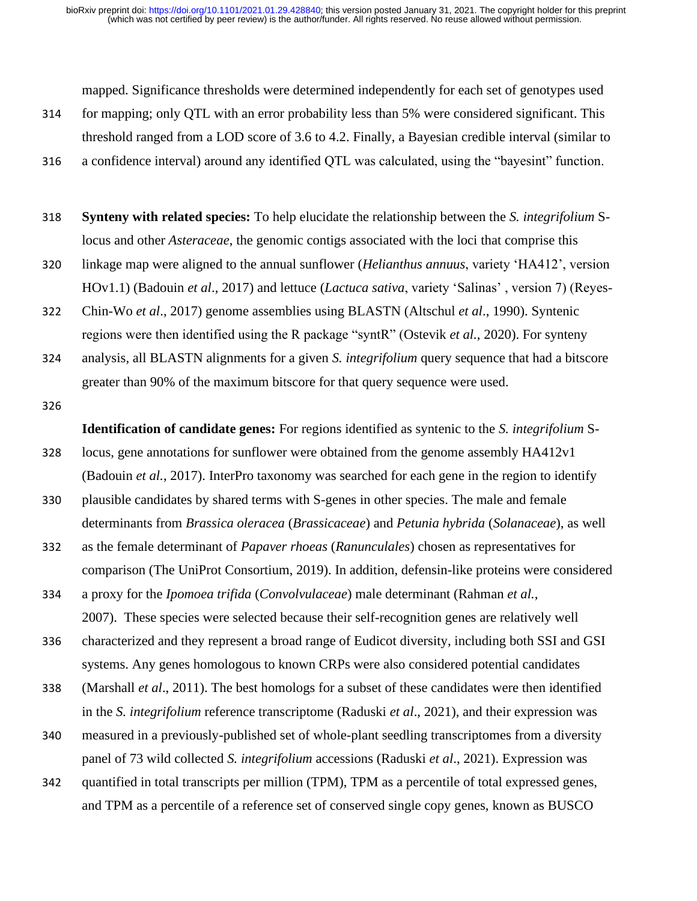mapped. Significance thresholds were determined independently for each set of genotypes used

- 314 for mapping; only QTL with an error probability less than 5% were considered significant. This threshold ranged from a LOD score of 3.6 to 4.2. Finally, a Bayesian credible interval (similar to
- 316 a confidence interval) around any identified QTL was calculated, using the "bayesint" function.
- 318 **Synteny with related species:** To help elucidate the relationship between the *S. integrifolium* Slocus and other *Asteraceae*, the genomic contigs associated with the loci that comprise this
- 320 linkage map were aligned to the annual sunflower (*Helianthus annuus*, variety 'HA412', version HOv1.1) (Badouin *et al*., 2017) and lettuce (*Lactuca sativa*, variety 'Salinas' , version 7) (Reyes-
- 322 Chin-Wo *et al*., 2017) genome assemblies using BLASTN (Altschul *et al*., 1990). Syntenic regions were then identified using the R package "syntR" (Ostevik *et al.*, 2020). For synteny
- 324 analysis, all BLASTN alignments for a given *S. integrifolium* query sequence that had a bitscore greater than 90% of the maximum bitscore for that query sequence were used.
- 326

**Identification of candidate genes:** For regions identified as syntenic to the *S. integrifolium* S-

- 328 locus, gene annotations for sunflower were obtained from the genome assembly HA412v1 (Badouin *et al.*, 2017). InterPro taxonomy was searched for each gene in the region to identify
- 330 plausible candidates by shared terms with S-genes in other species. The male and female determinants from *Brassica oleracea* (*Brassicaceae*) and *Petunia hybrida* (*Solanaceae*), as well
- 332 as the female determinant of *Papaver rhoeas* (*Ranunculales*) chosen as representatives for comparison (The UniProt Consortium, 2019). In addition, defensin-like proteins were considered
- 334 a proxy for the *Ipomoea trifida* (*Convolvulaceae*) male determinant (Rahman *et al.*, 2007). These species were selected because their self-recognition genes are relatively well
- 336 characterized and they represent a broad range of Eudicot diversity, including both SSI and GSI systems. Any genes homologous to known CRPs were also considered potential candidates
- 338 (Marshall *et al*., 2011). The best homologs for a subset of these candidates were then identified in the *S. integrifolium* reference transcriptome (Raduski *et al*., 2021), and their expression was
- 340 measured in a previously-published set of whole-plant seedling transcriptomes from a diversity panel of 73 wild collected *S. integrifolium* accessions (Raduski *et al*., 2021). Expression was
- 342 quantified in total transcripts per million (TPM), TPM as a percentile of total expressed genes, and TPM as a percentile of a reference set of conserved single copy genes, known as BUSCO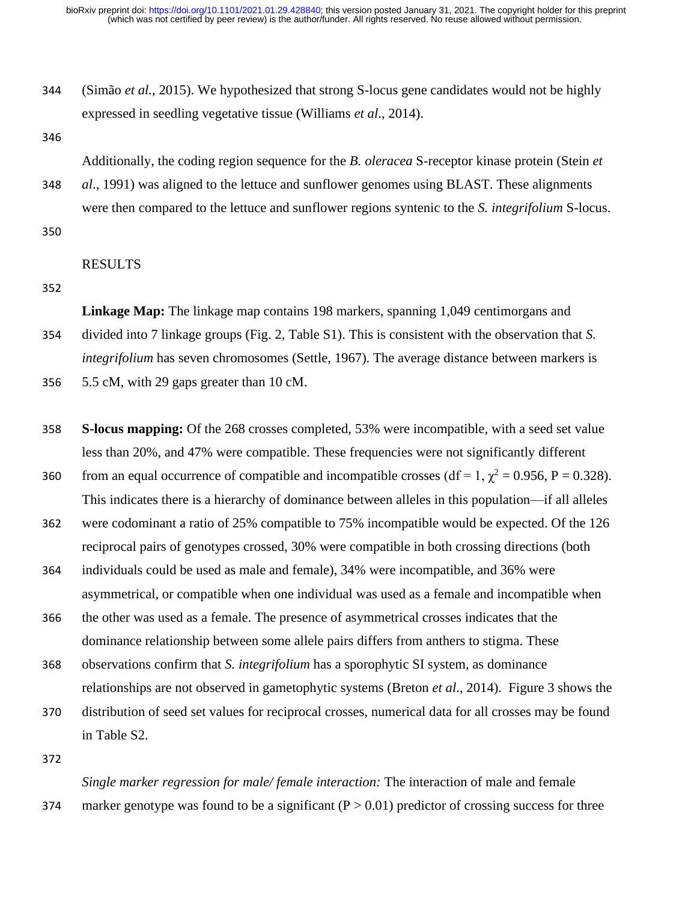- 344 (Simão *et al.*, 2015). We hypothesized that strong S-locus gene candidates would not be highly expressed in seedling vegetative tissue (Williams *et al*., 2014).
- 346

Additionally, the coding region sequence for the *B. oleracea* S-receptor kinase protein (Stein *et* 

- 348 *al*., 1991) was aligned to the lettuce and sunflower genomes using BLAST. These alignments were then compared to the lettuce and sunflower regions syntenic to the *S. integrifolium* S-locus.
- 350

# RESULTS

352

**Linkage Map:** The linkage map contains 198 markers, spanning 1,049 centimorgans and

354 divided into 7 linkage groups (Fig. 2, Table S1). This is consistent with the observation that *S. integrifolium* has seven chromosomes (Settle, 1967). The average distance between markers is

356 5.5 cM, with 29 gaps greater than 10 cM.

- 358 **S-locus mapping:** Of the 268 crosses completed, 53% were incompatible, with a seed set value less than 20%, and 47% were compatible. These frequencies were not significantly different
- 360 from an equal occurrence of compatible and incompatible crosses ( $df = 1$ ,  $\chi^2 = 0.956$ , P = 0.328). This indicates there is a hierarchy of dominance between alleles in this population—if all alleles
- 362 were codominant a ratio of 25% compatible to 75% incompatible would be expected. Of the 126 reciprocal pairs of genotypes crossed, 30% were compatible in both crossing directions (both
- 364 individuals could be used as male and female), 34% were incompatible, and 36% were asymmetrical, or compatible when one individual was used as a female and incompatible when
- 366 the other was used as a female. The presence of asymmetrical crosses indicates that the dominance relationship between some allele pairs differs from anthers to stigma. These
- 368 observations confirm that *S. integrifolium* has a sporophytic SI system, as dominance relationships are not observed in gametophytic systems (Breton *et al*., 2014). Figure 3 shows the
- 370 distribution of seed set values for reciprocal crosses, numerical data for all crosses may be found in Table S2.
- 372

*Single marker regression for male/ female interaction:* The interaction of male and female 374 marker genotype was found to be a significant  $(P > 0.01)$  predictor of crossing success for three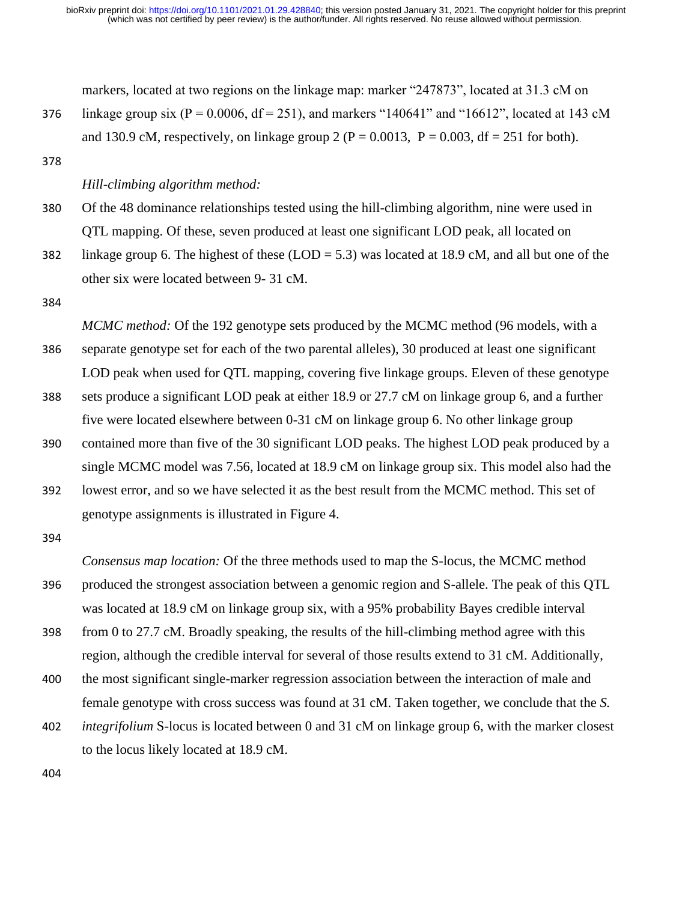markers, located at two regions on the linkage map: marker "247873", located at 31.3 cM on 376 linkage group six ( $P = 0.0006$ ,  $df = 251$ ), and markers "140641" and "16612", located at 143 cM and 130.9 cM, respectively, on linkage group 2 ( $P = 0.0013$ ,  $P = 0.003$ , df = 251 for both).

378

#### *Hill-climbing algorithm method:*

- 380 Of the 48 dominance relationships tested using the hill-climbing algorithm, nine were used in QTL mapping. Of these, seven produced at least one significant LOD peak, all located on
- 382 linkage group 6. The highest of these (LOD = 5.3) was located at 18.9 cM, and all but one of the other six were located between 9- 31 cM.

384

*MCMC method:* Of the 192 genotype sets produced by the MCMC method (96 models, with a 386 separate genotype set for each of the two parental alleles), 30 produced at least one significant LOD peak when used for QTL mapping, covering five linkage groups. Eleven of these genotype

- 388 sets produce a significant LOD peak at either 18.9 or 27.7 cM on linkage group 6, and a further five were located elsewhere between 0-31 cM on linkage group 6. No other linkage group
- 390 contained more than five of the 30 significant LOD peaks. The highest LOD peak produced by a single MCMC model was 7.56, located at 18.9 cM on linkage group six. This model also had the
- 392 lowest error, and so we have selected it as the best result from the MCMC method. This set of genotype assignments is illustrated in Figure 4.
- 394

*Consensus map location:* Of the three methods used to map the S-locus, the MCMC method 396 produced the strongest association between a genomic region and S-allele. The peak of this QTL was located at 18.9 cM on linkage group six, with a 95% probability Bayes credible interval

- 398 from 0 to 27.7 cM. Broadly speaking, the results of the hill-climbing method agree with this region, although the credible interval for several of those results extend to 31 cM. Additionally,
- 400 the most significant single-marker regression association between the interaction of male and female genotype with cross success was found at 31 cM. Taken together, we conclude that the *S.*
- 402 *integrifolium* S-locus is located between 0 and 31 cM on linkage group 6, with the marker closest to the locus likely located at 18.9 cM.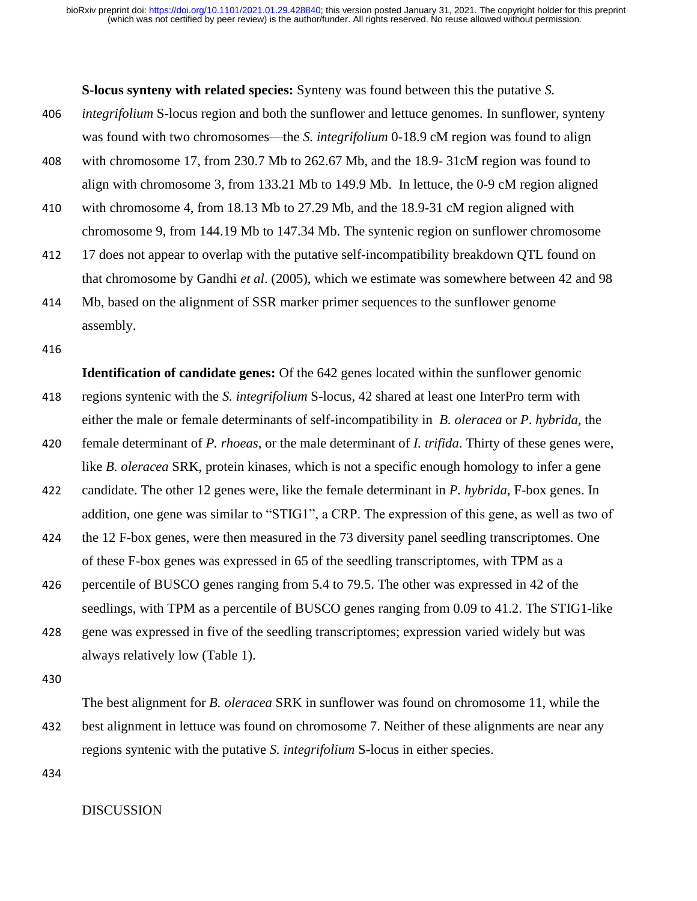**S-locus synteny with related species:** Synteny was found between this the putative *S.* 

- 406 *integrifolium* S-locus region and both the sunflower and lettuce genomes. In sunflower, synteny was found with two chromosomes—the *S. integrifolium* 0-18.9 cM region was found to align
- 408 with chromosome 17, from 230.7 Mb to 262.67 Mb, and the 18.9- 31cM region was found to align with chromosome 3, from 133.21 Mb to 149.9 Mb. In lettuce, the 0-9 cM region aligned
- 410 with chromosome 4, from 18.13 Mb to 27.29 Mb, and the 18.9-31 cM region aligned with chromosome 9, from 144.19 Mb to 147.34 Mb. The syntenic region on sunflower chromosome
- 412 17 does not appear to overlap with the putative self-incompatibility breakdown QTL found on that chromosome by Gandhi *et al*. (2005), which we estimate was somewhere between 42 and 98
- 414 Mb, based on the alignment of SSR marker primer sequences to the sunflower genome assembly.

416

**Identification of candidate genes:** Of the 642 genes located within the sunflower genomic 418 regions syntenic with the *S. integrifolium* S-locus, 42 shared at least one InterPro term with either the male or female determinants of self-incompatibility in *B. oleracea* or *P*. *hybrida,* the

- 420 female determinant of *P. rhoeas*, or the male determinant of *I. trifida*. Thirty of these genes were, like *B. oleracea* SRK, protein kinases, which is not a specific enough homology to infer a gene
- 422 candidate. The other 12 genes were, like the female determinant in *P. hybrida*, F-box genes. In addition, one gene was similar to "STIG1", a CRP. The expression of this gene, as well as two of
- 424 the 12 F-box genes, were then measured in the 73 diversity panel seedling transcriptomes. One of these F-box genes was expressed in 65 of the seedling transcriptomes, with TPM as a
- 426 percentile of BUSCO genes ranging from 5.4 to 79.5. The other was expressed in 42 of the seedlings, with TPM as a percentile of BUSCO genes ranging from 0.09 to 41.2. The STIG1-like
- 428 gene was expressed in five of the seedling transcriptomes; expression varied widely but was always relatively low (Table 1).

430

The best alignment for *B. oleracea* SRK in sunflower was found on chromosome 11, while the 432 best alignment in lettuce was found on chromosome 7. Neither of these alignments are near any regions syntenic with the putative *S. integrifolium* S-locus in either species.

434

#### DISCUSSION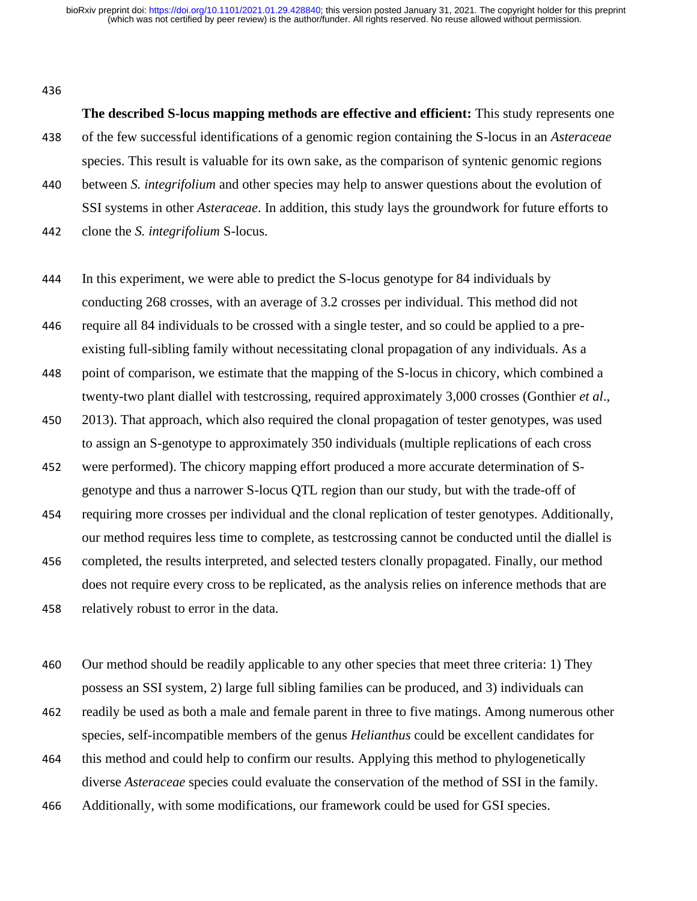436

**The described S-locus mapping methods are effective and efficient:** This study represents one 438 of the few successful identifications of a genomic region containing the S-locus in an *Asteraceae* species. This result is valuable for its own sake, as the comparison of syntenic genomic regions

440 between *S. integrifolium* and other species may help to answer questions about the evolution of SSI systems in other *Asteraceae*. In addition, this study lays the groundwork for future efforts to

442 clone the *S. integrifolium* S-locus.

444 In this experiment, we were able to predict the S-locus genotype for 84 individuals by conducting 268 crosses, with an average of 3.2 crosses per individual. This method did not

446 require all 84 individuals to be crossed with a single tester, and so could be applied to a preexisting full-sibling family without necessitating clonal propagation of any individuals. As a

448 point of comparison, we estimate that the mapping of the S-locus in chicory, which combined a twenty-two plant diallel with testcrossing, required approximately 3,000 crosses (Gonthier *et al*.,

- 450 2013). That approach, which also required the clonal propagation of tester genotypes, was used to assign an S-genotype to approximately 350 individuals (multiple replications of each cross
- 452 were performed). The chicory mapping effort produced a more accurate determination of Sgenotype and thus a narrower S-locus QTL region than our study, but with the trade-off of

454 requiring more crosses per individual and the clonal replication of tester genotypes. Additionally, our method requires less time to complete, as testcrossing cannot be conducted until the diallel is

456 completed, the results interpreted, and selected testers clonally propagated. Finally, our method does not require every cross to be replicated, as the analysis relies on inference methods that are 458 relatively robust to error in the data.

460 Our method should be readily applicable to any other species that meet three criteria: 1) They possess an SSI system, 2) large full sibling families can be produced, and 3) individuals can

- 462 readily be used as both a male and female parent in three to five matings. Among numerous other species, self-incompatible members of the genus *Helianthus* could be excellent candidates for
- 464 this method and could help to confirm our results. Applying this method to phylogenetically diverse *Asteraceae* species could evaluate the conservation of the method of SSI in the family.
- 466 Additionally, with some modifications, our framework could be used for GSI species.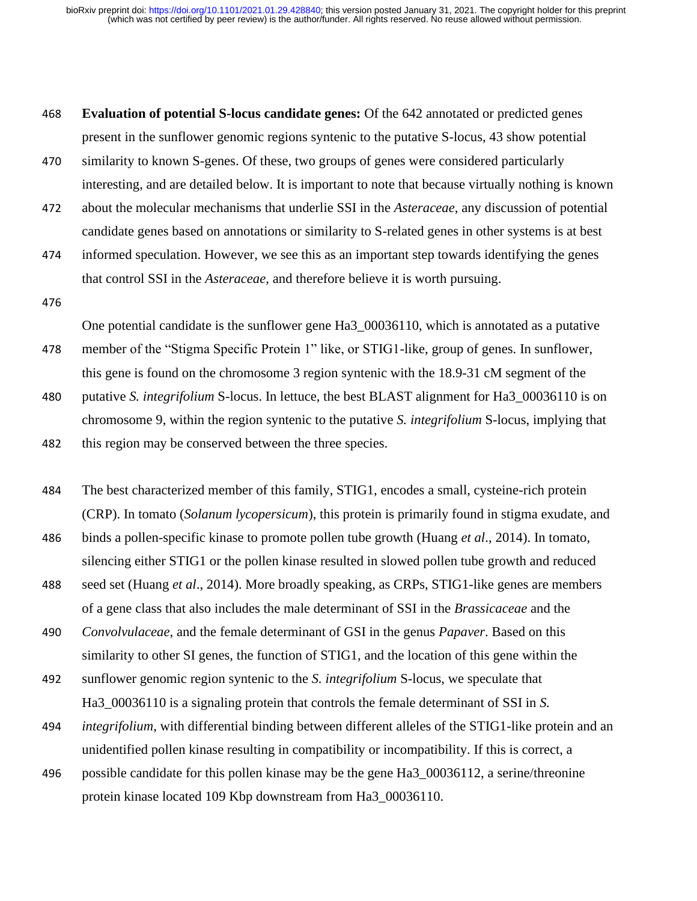468 **Evaluation of potential S-locus candidate genes:** Of the 642 annotated or predicted genes present in the sunflower genomic regions syntenic to the putative S-locus, 43 show potential

- 470 similarity to known S-genes. Of these, two groups of genes were considered particularly interesting, and are detailed below. It is important to note that because virtually nothing is known
- 472 about the molecular mechanisms that underlie SSI in the *Asteraceae*, any discussion of potential candidate genes based on annotations or similarity to S-related genes in other systems is at best

474 informed speculation. However, we see this as an important step towards identifying the genes that control SSI in the *Asteraceae*, and therefore believe it is worth pursuing.

476

One potential candidate is the sunflower gene Ha3\_00036110, which is annotated as a putative

- 478 member of the "Stigma Specific Protein 1" like, or STIG1-like, group of genes. In sunflower, this gene is found on the chromosome 3 region syntenic with the 18.9-31 cM segment of the
- 480 putative *S. integrifolium* S-locus. In lettuce, the best BLAST alignment for Ha3\_00036110 is on chromosome 9, within the region syntenic to the putative *S. integrifolium* S-locus, implying that 482 this region may be conserved between the three species.

484 The best characterized member of this family, STIG1, encodes a small, cysteine-rich protein (CRP). In tomato (*Solanum lycopersicum*), this protein is primarily found in stigma exudate, and 486 binds a pollen-specific kinase to promote pollen tube growth (Huang *et al*., 2014). In tomato,

- silencing either STIG1 or the pollen kinase resulted in slowed pollen tube growth and reduced
- 488 seed set (Huang *et al*., 2014). More broadly speaking, as CRPs, STIG1-like genes are members of a gene class that also includes the male determinant of SSI in the *Brassicaceae* and the

490 *Convolvulaceae*, and the female determinant of GSI in the genus *Papaver*. Based on this similarity to other SI genes, the function of STIG1, and the location of this gene within the

492 sunflower genomic region syntenic to the *S. integrifolium* S-locus, we speculate that Ha3\_00036110 is a signaling protein that controls the female determinant of SSI in *S.* 

494 *integrifolium*, with differential binding between different alleles of the STIG1-like protein and an unidentified pollen kinase resulting in compatibility or incompatibility. If this is correct, a

496 possible candidate for this pollen kinase may be the gene Ha3\_00036112, a serine/threonine protein kinase located 109 Kbp downstream from Ha3\_00036110.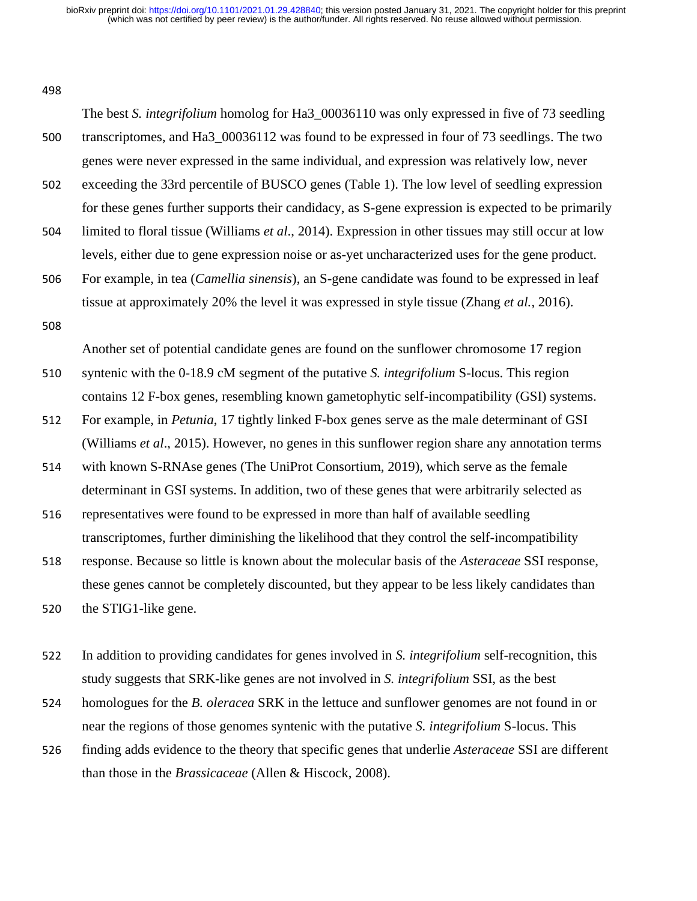#### 498

The best *S. integrifolium* homolog for Ha3\_00036110 was only expressed in five of 73 seedling 500 transcriptomes, and Ha3\_00036112 was found to be expressed in four of 73 seedlings. The two genes were never expressed in the same individual, and expression was relatively low, never

502 exceeding the 33rd percentile of BUSCO genes (Table 1). The low level of seedling expression for these genes further supports their candidacy, as S-gene expression is expected to be primarily

504 limited to floral tissue (Williams *et al*., 2014). Expression in other tissues may still occur at low levels, either due to gene expression noise or as-yet uncharacterized uses for the gene product.

506 For example, in tea (*Camellia sinensis*), an S-gene candidate was found to be expressed in leaf tissue at approximately 20% the level it was expressed in style tissue (Zhang *et al.*, 2016).

508

Another set of potential candidate genes are found on the sunflower chromosome 17 region

- 510 syntenic with the 0-18.9 cM segment of the putative *S. integrifolium* S-locus. This region contains 12 F-box genes, resembling known gametophytic self-incompatibility (GSI) systems.
- 512 For example, in *Petunia*, 17 tightly linked F-box genes serve as the male determinant of GSI (Williams *et al*., 2015). However, no genes in this sunflower region share any annotation terms
- 514 with known S-RNAse genes (The UniProt Consortium, 2019), which serve as the female determinant in GSI systems. In addition, two of these genes that were arbitrarily selected as
- 516 representatives were found to be expressed in more than half of available seedling transcriptomes, further diminishing the likelihood that they control the self-incompatibility

518 response. Because so little is known about the molecular basis of the *Asteraceae* SSI response, these genes cannot be completely discounted, but they appear to be less likely candidates than

520 the STIG1-like gene.

- 522 In addition to providing candidates for genes involved in *S. integrifolium* self-recognition, this study suggests that SRK-like genes are not involved in *S. integrifolium* SSI, as the best
- 524 homologues for the *B. oleracea* SRK in the lettuce and sunflower genomes are not found in or near the regions of those genomes syntenic with the putative *S. integrifolium* S-locus. This
- 526 finding adds evidence to the theory that specific genes that underlie *Asteraceae* SSI are different than those in the *Brassicaceae* (Allen & Hiscock, 2008).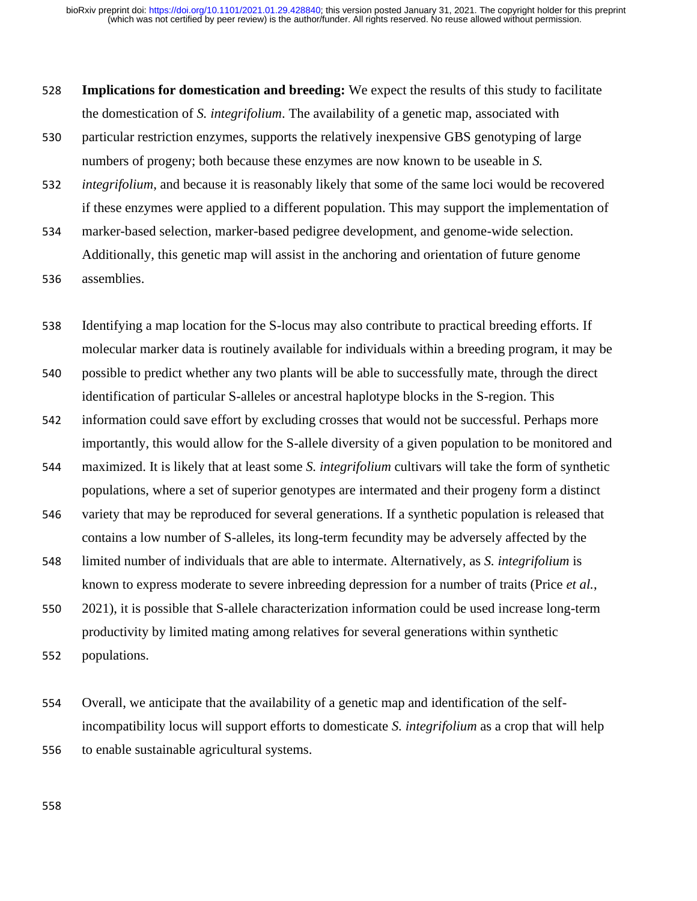- 528 **Implications for domestication and breeding:** We expect the results of this study to facilitate the domestication of *S. integrifolium*. The availability of a genetic map, associated with
- 530 particular restriction enzymes, supports the relatively inexpensive GBS genotyping of large numbers of progeny; both because these enzymes are now known to be useable in *S.*
- 532 *integrifolium*, and because it is reasonably likely that some of the same loci would be recovered if these enzymes were applied to a different population. This may support the implementation of
- 534 marker-based selection, marker-based pedigree development, and genome-wide selection. Additionally, this genetic map will assist in the anchoring and orientation of future genome 536 assemblies.
- 

538 Identifying a map location for the S-locus may also contribute to practical breeding efforts. If molecular marker data is routinely available for individuals within a breeding program, it may be

- 540 possible to predict whether any two plants will be able to successfully mate, through the direct identification of particular S-alleles or ancestral haplotype blocks in the S-region. This
- 542 information could save effort by excluding crosses that would not be successful. Perhaps more importantly, this would allow for the S-allele diversity of a given population to be monitored and
- 544 maximized. It is likely that at least some *S. integrifolium* cultivars will take the form of synthetic populations, where a set of superior genotypes are intermated and their progeny form a distinct
- 546 variety that may be reproduced for several generations. If a synthetic population is released that contains a low number of S-alleles, its long-term fecundity may be adversely affected by the
- 548 limited number of individuals that are able to intermate. Alternatively, as *S. integrifolium* is known to express moderate to severe inbreeding depression for a number of traits (Price *et al.*,
- 550 2021), it is possible that S-allele characterization information could be used increase long-term productivity by limited mating among relatives for several generations within synthetic 552 populations.

554 Overall, we anticipate that the availability of a genetic map and identification of the selfincompatibility locus will support efforts to domesticate *S. integrifolium* as a crop that will help 556 to enable sustainable agricultural systems.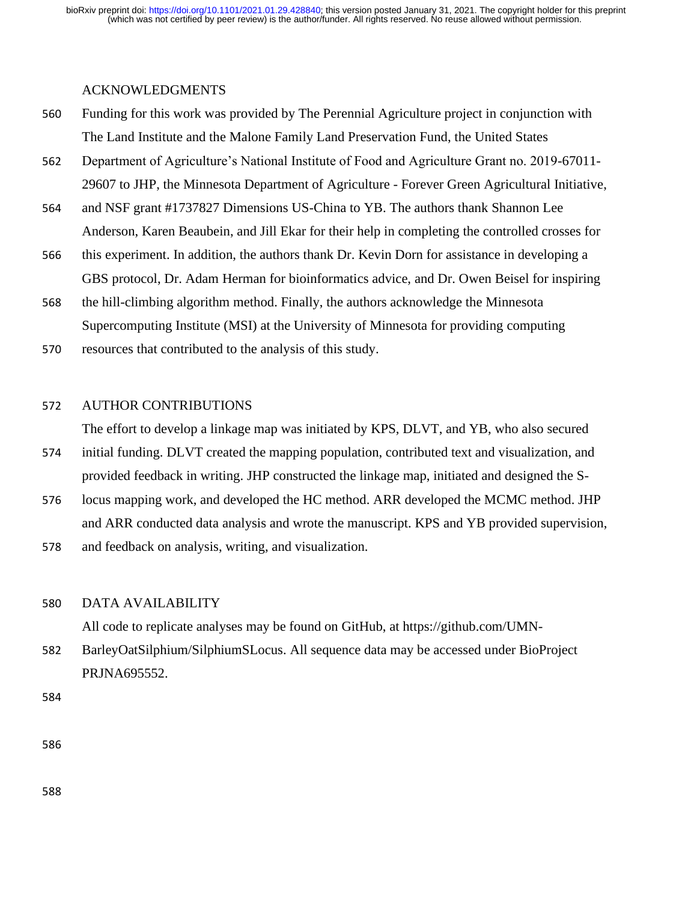### ACKNOWLEDGMENTS

- 560 Funding for this work was provided by The Perennial Agriculture project in conjunction with The Land Institute and the Malone Family Land Preservation Fund, the United States
- 562 Department of Agriculture's National Institute of Food and Agriculture Grant no. 2019-67011- 29607 to JHP, the Minnesota Department of Agriculture - Forever Green Agricultural Initiative,
- 564 and NSF grant #1737827 Dimensions US-China to YB. The authors thank Shannon Lee Anderson, Karen Beaubein, and Jill Ekar for their help in completing the controlled crosses for
- 566 this experiment. In addition, the authors thank Dr. Kevin Dorn for assistance in developing a GBS protocol, Dr. Adam Herman for bioinformatics advice, and Dr. Owen Beisel for inspiring
- 568 the hill-climbing algorithm method. Finally, the authors acknowledge the Minnesota Supercomputing Institute (MSI) at the University of Minnesota for providing computing
- 570 resources that contributed to the analysis of this study.

### 572 AUTHOR CONTRIBUTIONS

The effort to develop a linkage map was initiated by KPS, DLVT, and YB, who also secured

- 574 initial funding. DLVT created the mapping population, contributed text and visualization, and provided feedback in writing. JHP constructed the linkage map, initiated and designed the S-
- 576 locus mapping work, and developed the HC method. ARR developed the MCMC method. JHP and ARR conducted data analysis and wrote the manuscript. KPS and YB provided supervision,
- 578 and feedback on analysis, writing, and visualization.

#### 580 DATA AVAILABILITY

All code to replicate analyses may be found on GitHub, at https://github.com/UMN-

582 BarleyOatSilphium/SilphiumSLocus. All sequence data may be accessed under BioProject PRJNA695552.

584

586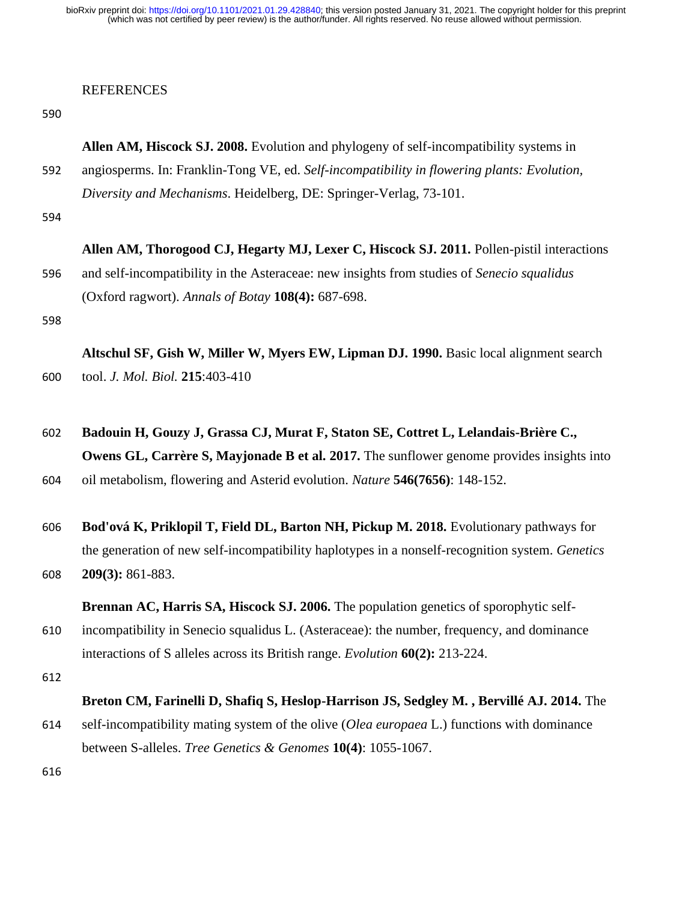# REFERENCES

|     | Allen AM, Hiscock SJ. 2008. Evolution and phylogeny of self-incompatibility systems in          |  |  |  |  |  |
|-----|-------------------------------------------------------------------------------------------------|--|--|--|--|--|
| 592 | angiosperms. In: Franklin-Tong VE, ed. Self-incompatibility in flowering plants: Evolution,     |  |  |  |  |  |
|     | Diversity and Mechanisms. Heidelberg, DE: Springer-Verlag, 73-101.                              |  |  |  |  |  |
| 594 |                                                                                                 |  |  |  |  |  |
|     | Allen AM, Thorogood CJ, Hegarty MJ, Lexer C, Hiscock SJ. 2011. Pollen-pistil interactions       |  |  |  |  |  |
| 596 | and self-incompatibility in the Asteraceae: new insights from studies of Senecio squalidus      |  |  |  |  |  |
|     | (Oxford ragwort). Annals of Botay 108(4): 687-698.                                              |  |  |  |  |  |
| 598 |                                                                                                 |  |  |  |  |  |
|     | Altschul SF, Gish W, Miller W, Myers EW, Lipman DJ. 1990. Basic local alignment search          |  |  |  |  |  |
| 600 | tool. J. Mol. Biol. 215:403-410                                                                 |  |  |  |  |  |
| 602 | Badouin H, Gouzy J, Grassa CJ, Murat F, Staton SE, Cottret L, Lelandais-Brière C.,              |  |  |  |  |  |
|     | Owens GL, Carrère S, Mayjonade B et al. 2017. The sunflower genome provides insights into       |  |  |  |  |  |
| 604 | oil metabolism, flowering and Asterid evolution. Nature 546(7656): 148-152.                     |  |  |  |  |  |
| 606 | Bod'ová K, Priklopil T, Field DL, Barton NH, Pickup M. 2018. Evolutionary pathways for          |  |  |  |  |  |
|     | the generation of new self-incompatibility haplotypes in a nonself-recognition system. Genetics |  |  |  |  |  |
| 608 | 209(3): 861-883.                                                                                |  |  |  |  |  |
|     | Brennan AC, Harris SA, Hiscock SJ. 2006. The population genetics of sporophytic self-           |  |  |  |  |  |
| 610 | incompatibility in Senecio squalidus L. (Asteraceae): the number, frequency, and dominance      |  |  |  |  |  |
|     | interactions of S alleles across its British range. Evolution 60(2): 213-224.                   |  |  |  |  |  |
| 612 |                                                                                                 |  |  |  |  |  |
|     | Breton CM, Farinelli D, Shafiq S, Heslop-Harrison JS, Sedgley M., Bervillé AJ. 2014. The        |  |  |  |  |  |
| 614 | self-incompatibility mating system of the olive (Olea europaea L.) functions with dominance     |  |  |  |  |  |
|     | between S-alleles. Tree Genetics & Genomes 10(4): 1055-1067.                                    |  |  |  |  |  |
| 616 |                                                                                                 |  |  |  |  |  |
|     |                                                                                                 |  |  |  |  |  |
|     |                                                                                                 |  |  |  |  |  |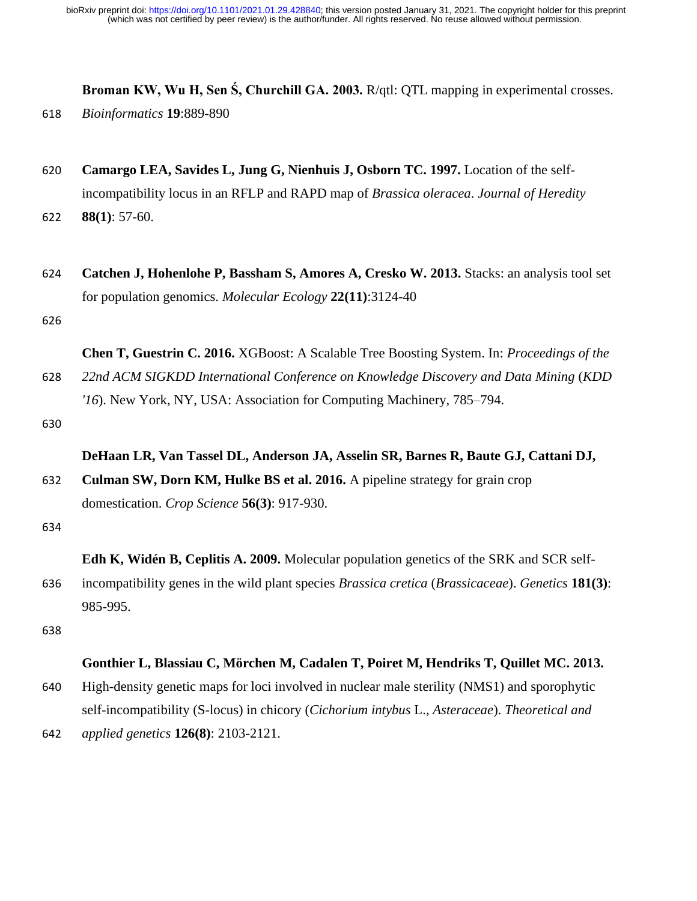**Broman KW, Wu H, Sen Ś, Churchill GA. 2003.** R/qtl: QTL mapping in experimental crosses.

- 618 *Bioinformatics* **19**:889-890
- 620 **Camargo LEA, Savides L, Jung G, Nienhuis J, Osborn TC. 1997.** Location of the selfincompatibility locus in an RFLP and RAPD map of *Brassica oleracea*. *Journal of Heredity* 622 **88(1)**: 57-60.
- 
- 624 **Catchen J, Hohenlohe P, Bassham S, Amores A, Cresko W. 2013.** Stacks: an analysis tool set for population genomics. *Molecular Ecology* **22(11)**:3124-40

626

**Chen T, Guestrin C. 2016.** XGBoost: A Scalable Tree Boosting System. In: *Proceedings of the*  628 *22nd ACM SIGKDD International Conference on Knowledge Discovery and Data Mining* (*KDD* 

*'16*). New York, NY, USA: Association for Computing Machinery, 785–794.

630

## **DeHaan LR, Van Tassel DL, Anderson JA, Asselin SR, Barnes R, Baute GJ, Cattani DJ,**

632 **Culman SW, Dorn KM, Hulke BS et al. 2016.** A pipeline strategy for grain crop domestication. *Crop Science* **56(3)**: 917-930.

634

**Edh K, Widén B, Ceplitis A. 2009.** Molecular population genetics of the SRK and SCR self-

636 incompatibility genes in the wild plant species *Brassica cretica* (*Brassicaceae*). *Genetics* **181(3)**: 985-995.

638

## **Gonthier L, Blassiau C, Mörchen M, Cadalen T, Poiret M, Hendriks T, Quillet MC. 2013.**

- 640 High-density genetic maps for loci involved in nuclear male sterility (NMS1) and sporophytic self-incompatibility (S-locus) in chicory (*Cichorium intybus* L., *Asteraceae*). *Theoretical and*
- 642 *applied genetics* **126(8)**: 2103-2121.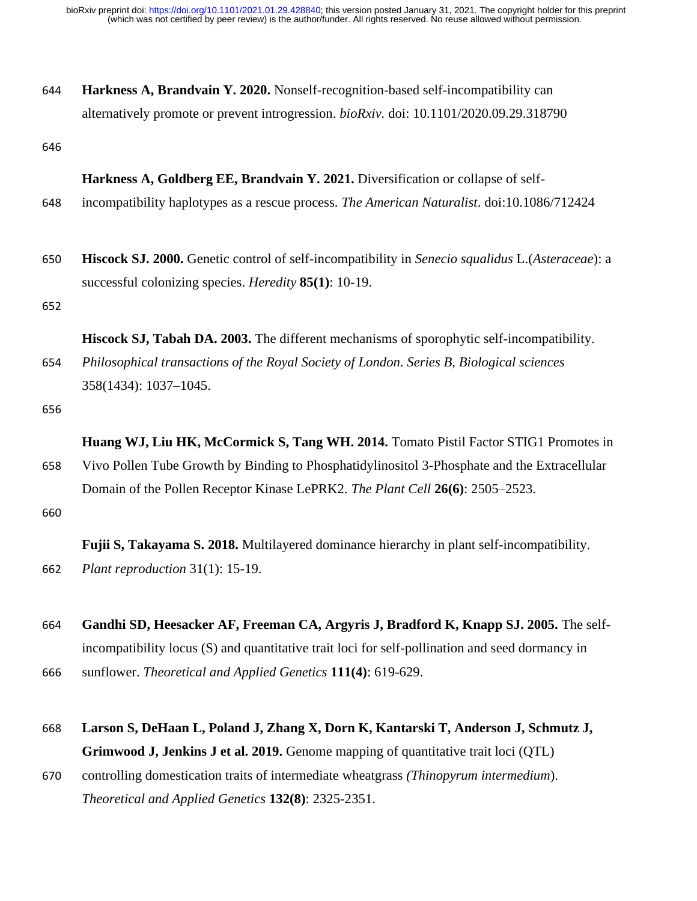| 644 | <b>Harkness A, Brandvain Y. 2020.</b> Nonself-recognition-based self-incompatibility can |  |  |  |  |  |
|-----|------------------------------------------------------------------------------------------|--|--|--|--|--|
|     | alternatively promote or prevent introgression. bioRxiv. doi: 10.1101/2020.09.29.318790  |  |  |  |  |  |

646

#### **Harkness A, Goldberg EE, Brandvain Y. 2021.** Diversification or collapse of self-

- 648 incompatibility haplotypes as a rescue process. *The American Naturalist*. doi:10.1086/712424
- 650 **Hiscock SJ. 2000.** Genetic control of self-incompatibility in *Senecio squalidus* L.(*Asteraceae*): a successful colonizing species. *Heredity* **85(1)**: 10-19.

652

**Hiscock SJ, Tabah DA. 2003.** The different mechanisms of sporophytic self-incompatibility. 654 *Philosophical transactions of the Royal Society of London. Series B, Biological sciences* 358(1434): 1037–1045.

656

**Huang WJ, Liu HK, McCormick S, Tang WH. 2014.** Tomato Pistil Factor STIG1 Promotes in 658 Vivo Pollen Tube Growth by Binding to Phosphatidylinositol 3-Phosphate and the Extracellular Domain of the Pollen Receptor Kinase LePRK2. *The Plant Cell* **26(6)**: 2505–2523.

660

**Fujii S, Takayama S. 2018.** Multilayered dominance hierarchy in plant self-incompatibility. 662 *Plant reproduction* 31(1): 15-19.

- 664 **Gandhi SD, Heesacker AF, Freeman CA, Argyris J, Bradford K, Knapp SJ. 2005.** The selfincompatibility locus (S) and quantitative trait loci for self-pollination and seed dormancy in 666 sunflower. *Theoretical and Applied Genetics* **111(4)**: 619-629.
- 668 **Larson S, DeHaan L, Poland J, Zhang X, Dorn K, Kantarski T, Anderson J, Schmutz J, Grimwood J, Jenkins J et al. 2019.** Genome mapping of quantitative trait loci (QTL)
- 670 controlling domestication traits of intermediate wheatgrass *(Thinopyrum intermedium*). *Theoretical and Applied Genetics* **132(8)**: 2325-2351.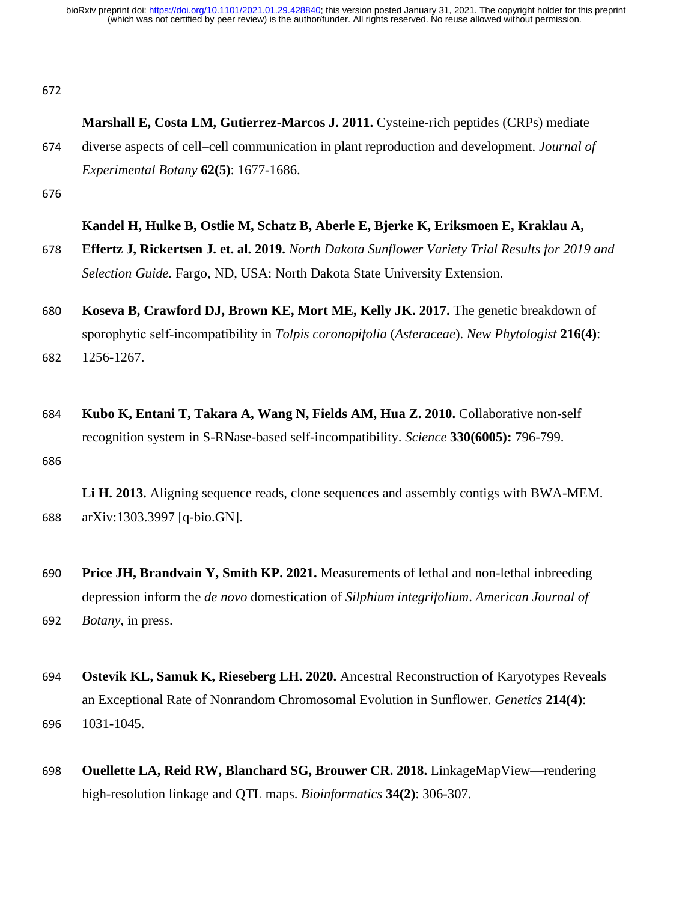672

### **Marshall E, Costa LM, Gutierrez-Marcos J. 2011.** Cysteine-rich peptides (CRPs) mediate

674 diverse aspects of cell–cell communication in plant reproduction and development. *Journal of Experimental Botany* **62(5)**: 1677-1686.

676

### **Kandel H, Hulke B, Ostlie M, Schatz B, Aberle E, Bjerke K, Eriksmoen E, Kraklau A,**

- 678 **Effertz J, Rickertsen J. et. al. 2019.** *North Dakota Sunflower Variety Trial Results for 2019 and Selection Guide.* Fargo, ND, USA: North Dakota State University Extension.
- 680 **Koseva B, Crawford DJ, Brown KE, Mort ME, Kelly JK. 2017.** The genetic breakdown of sporophytic self‐incompatibility in *Tolpis coronopifolia* (*Asteraceae*). *New Phytologist* **216(4)**: 682 1256-1267.
- 684 **Kubo K, Entani T, Takara A, Wang N, Fields AM, Hua Z. 2010.** Collaborative non-self recognition system in S-RNase-based self-incompatibility. *Science* **330(6005):** 796-799. 686

**Li H. 2013.** Aligning sequence reads, clone sequences and assembly contigs with BWA-MEM. 688 arXiv:1303.3997 [q-bio.GN].

- 690 **Price JH, Brandvain Y, Smith KP. 2021.** Measurements of lethal and non-lethal inbreeding depression inform the *de novo* domestication of *Silphium integrifolium*. *American Journal of*  692 *Botany*, in press.
- 694 **Ostevik KL, Samuk K, Rieseberg LH. 2020.** Ancestral Reconstruction of Karyotypes Reveals an Exceptional Rate of Nonrandom Chromosomal Evolution in Sunflower. *Genetics* **214(4)**: 696 1031-1045.
- 698 **Ouellette LA, Reid RW, Blanchard SG, Brouwer CR. 2018.** LinkageMapView—rendering high-resolution linkage and QTL maps. *Bioinformatics* **34(2)**: 306-307.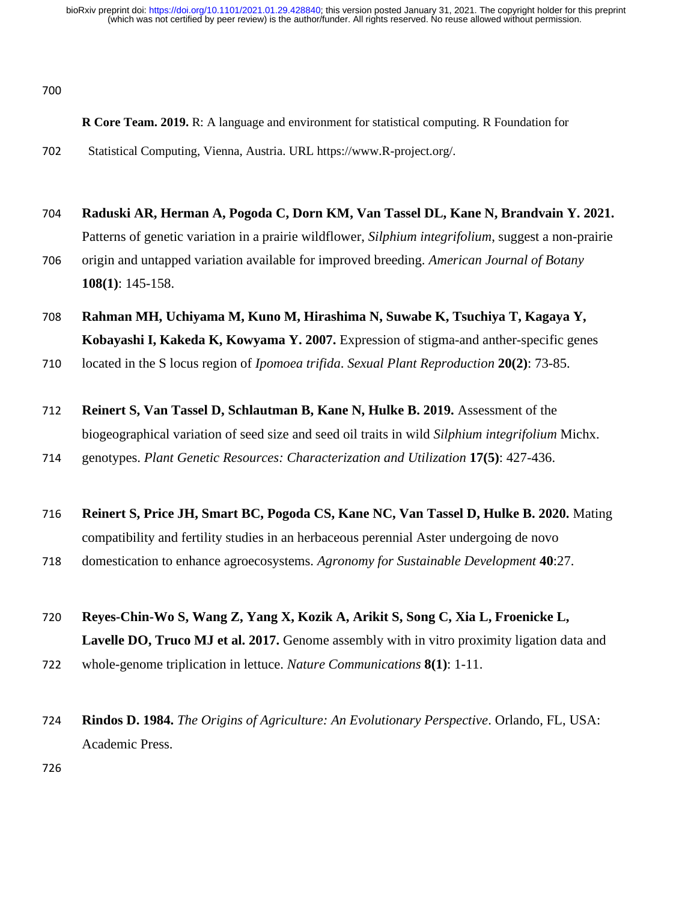700

- **R Core Team. 2019.** R: A language and environment for statistical computing. R Foundation for 702 Statistical Computing, Vienna, Austria. URL https://www.R-project.org/.
- 704 **Raduski AR, Herman A, Pogoda C, Dorn KM, Van Tassel DL, Kane N, Brandvain Y. 2021.**  Patterns of genetic variation in a prairie wildflower, *Silphium integrifolium*, suggest a non-prairie 706 origin and untapped variation available for improved breeding. *American Journal of Botany* **108(1)**: 145-158.
- 708 **Rahman MH, Uchiyama M, Kuno M, Hirashima N, Suwabe K, Tsuchiya T, Kagaya Y, Kobayashi I, Kakeda K, Kowyama Y. 2007.** Expression of stigma-and anther-specific genes
- 710 located in the S locus region of *Ipomoea trifida*. *Sexual Plant Reproduction* **20(2)**: 73-85.
- 712 **Reinert S, Van Tassel D, Schlautman B, Kane N, Hulke B. 2019.** Assessment of the biogeographical variation of seed size and seed oil traits in wild *Silphium integrifolium* Michx.
- 714 genotypes. *Plant Genetic Resources: Characterization and Utilization* **17(5)**: 427-436.
- 716 **Reinert S, Price JH, Smart BC, Pogoda CS, Kane NC, Van Tassel D, Hulke B. 2020.** Mating compatibility and fertility studies in an herbaceous perennial Aster undergoing de novo 718 domestication to enhance agroecosystems. *Agronomy for Sustainable Development* **40**:27.
- 720 **Reyes-Chin-Wo S, Wang Z, Yang X, Kozik A, Arikit S, Song C, Xia L, Froenicke L, Lavelle DO, Truco MJ et al. 2017.** Genome assembly with in vitro proximity ligation data and 722 whole-genome triplication in lettuce. *Nature Communications* **8(1)**: 1-11.
- 724 **Rindos D. 1984.** *The Origins of Agriculture: An Evolutionary Perspective*. Orlando, FL, USA: Academic Press.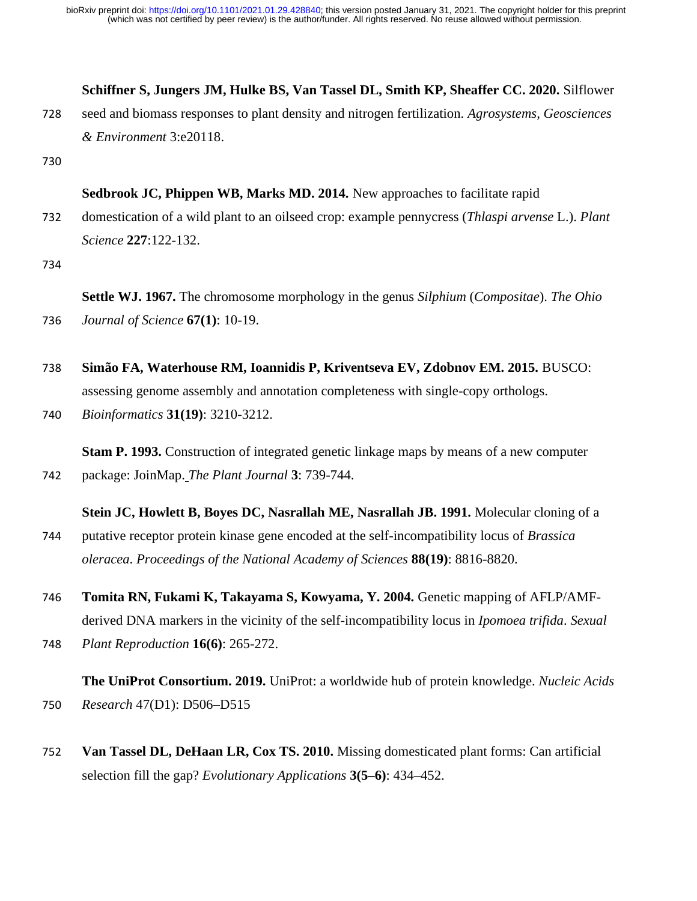### **Schiffner S, Jungers JM, Hulke BS, Van Tassel DL, Smith KP, Sheaffer CC. 2020.** Silflower

728 seed and biomass responses to plant density and nitrogen fertilization. *Agrosystems, Geosciences & Environment* 3:e20118.

730

### **Sedbrook JC, Phippen WB, Marks MD. 2014.** New approaches to facilitate rapid

732 domestication of a wild plant to an oilseed crop: example pennycress (*Thlaspi arvense* L.). *Plant Science* **227**:122-132.

734

**Settle WJ. 1967.** The chromosome morphology in the genus *Silphium* (*Compositae*). *The Ohio*  736 *Journal of Science* **67(1)**: 10-19.

- 738 **Simão FA, Waterhouse RM, Ioannidis P, Kriventseva EV, Zdobnov EM. 2015.** BUSCO: assessing genome assembly and annotation completeness with single-copy orthologs.
- 740 *Bioinformatics* **31(19)**: 3210-3212.

**Stam P. 1993.** Construction of integrated genetic linkage maps by means of a new computer 742 package: JoinMap[.](http://onlinelibrary.wiley.com/doi/10.1111/j.1365-313X.1993.00739.x/pdf) *The Plant Journal* **3**: 739-744.

### **Stein JC, Howlett B, Boyes DC, Nasrallah ME, Nasrallah JB. 1991.** Molecular cloning of a

- 744 putative receptor protein kinase gene encoded at the self-incompatibility locus of *Brassica oleracea*. *Proceedings of the National Academy of Sciences* **88(19)**: 8816-8820.
- 746 **Tomita RN, Fukami K, Takayama S, Kowyama, Y. 2004.** Genetic mapping of AFLP/AMFderived DNA markers in the vicinity of the self-incompatibility locus in *Ipomoea trifida*. *Sexual*
- 748 *Plant Reproduction* **16(6)**: 265-272.

# **The UniProt Consortium. 2019.** UniProt: a worldwide hub of protein knowledge. *Nucleic Acids*  750 *Research* 47(D1): D506–D515

752 **Van Tassel DL, DeHaan LR, Cox TS. 2010.** Missing domesticated plant forms: Can artificial selection fill the gap? *Evolutionary Applications* **3(5–6)**: 434–452.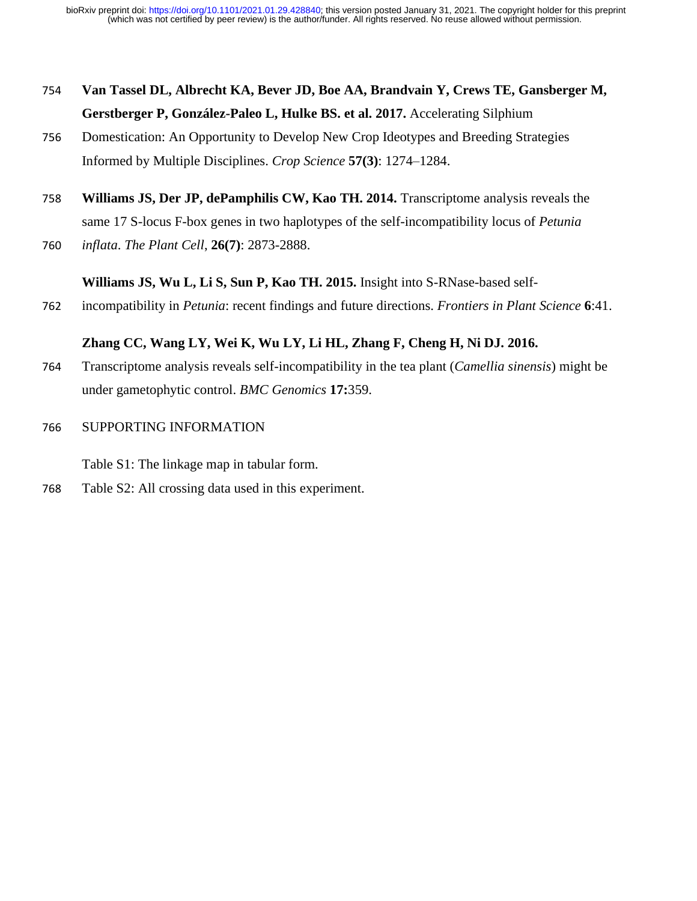- 754 **Van Tassel DL, Albrecht KA, Bever JD, Boe AA, Brandvain Y, Crews TE, Gansberger M, Gerstberger P, González-Paleo L, Hulke BS. et al. 2017.** Accelerating Silphium
- 756 Domestication: An Opportunity to Develop New Crop Ideotypes and Breeding Strategies Informed by Multiple Disciplines. *Crop Science* **57(3)**: 1274–1284.
- 758 **Williams JS, Der JP, dePamphilis CW, Kao TH. 2014.** Transcriptome analysis reveals the same 17 S-locus F-box genes in two haplotypes of the self-incompatibility locus of *Petunia*
- 760 *inflata*. *The Plant Cell*, **26(7)**: 2873-2888.

## **Williams JS, Wu L, Li S, Sun P, Kao TH. 2015.** Insight into S-RNase-based self-

762 incompatibility in *Petunia*: recent findings and future directions. *Frontiers in Plant Science* **6**:41.

### **Zhang CC, Wang LY, Wei K, Wu LY, Li HL, Zhang F, Cheng H, Ni DJ. 2016.**

- 764 Transcriptome analysis reveals self-incompatibility in the tea plant (*Camellia sinensis*) might be under gametophytic control. *BMC Genomics* **17:**359.
- 766 SUPPORTING INFORMATION

Table S1: The linkage map in tabular form.

768 Table S2: All crossing data used in this experiment.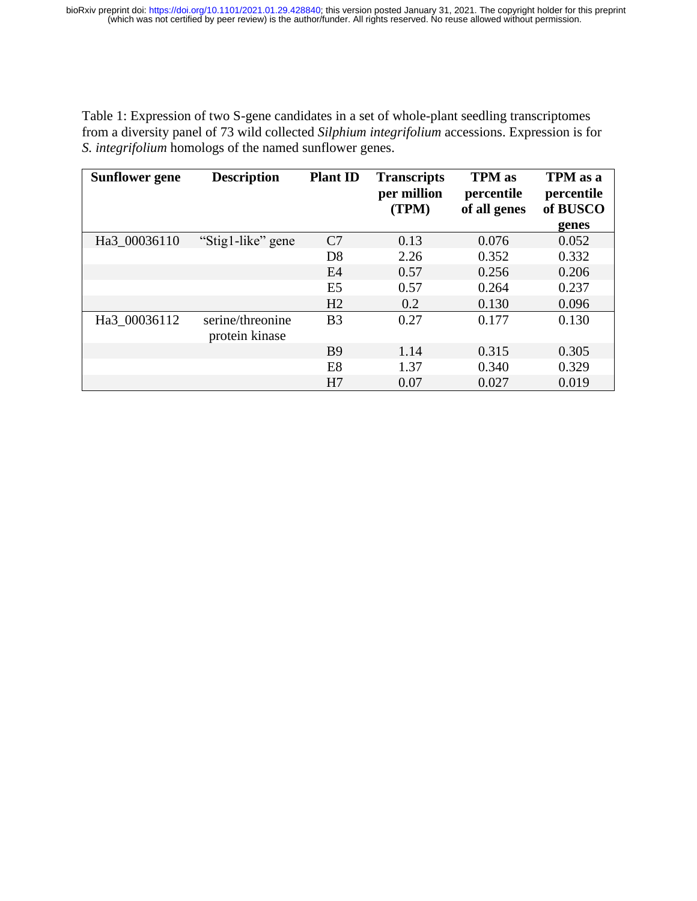Table 1: Expression of two S-gene candidates in a set of whole-plant seedling transcriptomes from a diversity panel of 73 wild collected *Silphium integrifolium* accessions. Expression is for *S. integrifolium* homologs of the named sunflower genes.

| <b>Sunflower gene</b> | <b>Description</b>                 | <b>Plant ID</b> | <b>Transcripts</b><br>per million<br>(TPM) | <b>TPM</b> as<br>percentile<br>of all genes | TPM as a<br>percentile<br>of BUSCO |
|-----------------------|------------------------------------|-----------------|--------------------------------------------|---------------------------------------------|------------------------------------|
|                       |                                    |                 |                                            |                                             | genes                              |
| Ha3 00036110          | "Stig1-like" gene                  | C7              | 0.13                                       | 0.076                                       | 0.052                              |
|                       |                                    | D <sub>8</sub>  | 2.26                                       | 0.352                                       | 0.332                              |
|                       |                                    | E4              | 0.57                                       | 0.256                                       | 0.206                              |
|                       |                                    | E <sub>5</sub>  | 0.57                                       | 0.264                                       | 0.237                              |
|                       |                                    | H2              | 0.2                                        | 0.130                                       | 0.096                              |
| Ha3 00036112          | serine/threonine<br>protein kinase | B <sub>3</sub>  | 0.27                                       | 0.177                                       | 0.130                              |
|                       |                                    | <b>B</b> 9      | 1.14                                       | 0.315                                       | 0.305                              |
|                       |                                    | E <sub>8</sub>  | 1.37                                       | 0.340                                       | 0.329                              |
|                       |                                    | H7              | 0.07                                       | 0.027                                       | 0.019                              |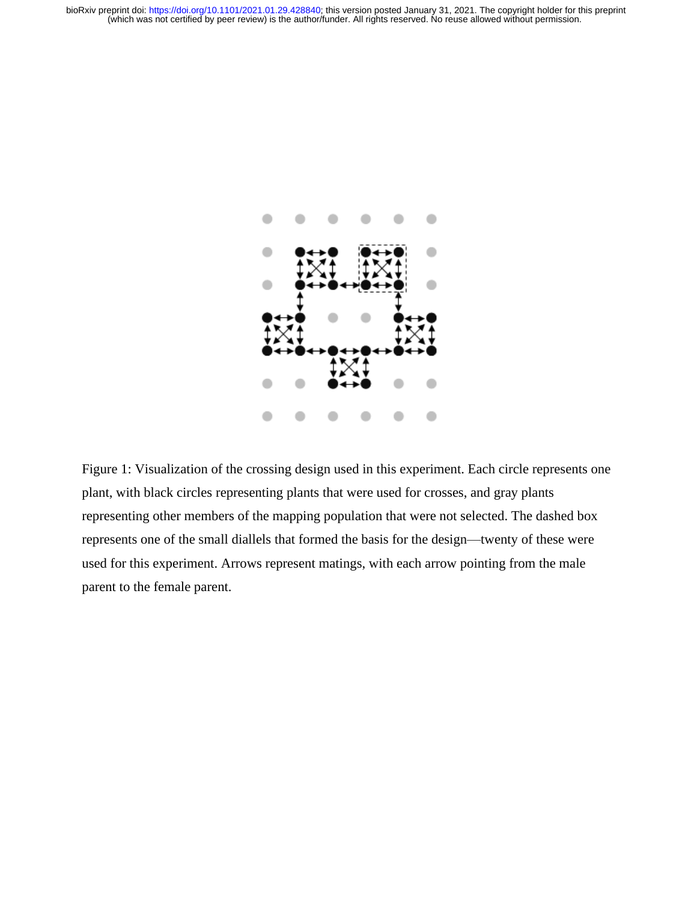

Figure 1: Visualization of the crossing design used in this experiment. Each circle represents one plant, with black circles representing plants that were used for crosses, and gray plants representing other members of the mapping population that were not selected. The dashed box represents one of the small diallels that formed the basis for the design—twenty of these were used for this experiment. Arrows represent matings, with each arrow pointing from the male parent to the female parent.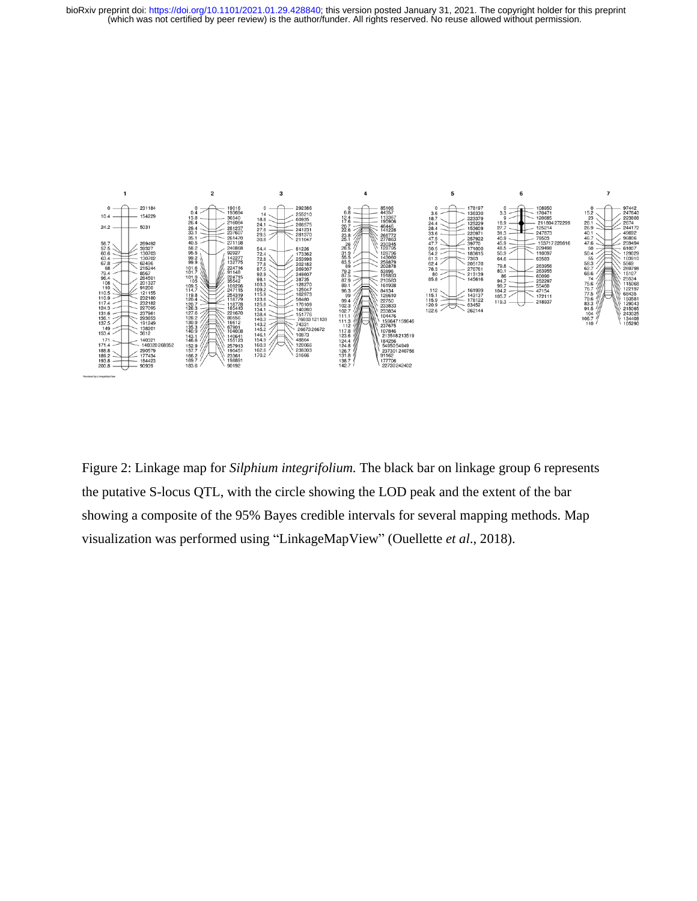

Figure 2: Linkage map for *Silphium integrifolium.* The black bar on linkage group 6 represents the putative S-locus QTL, with the circle showing the LOD peak and the extent of the bar showing a composite of the 95% Bayes credible intervals for several mapping methods. Map visualization was performed using "LinkageMapView" (Ouellette *et al*., 2018).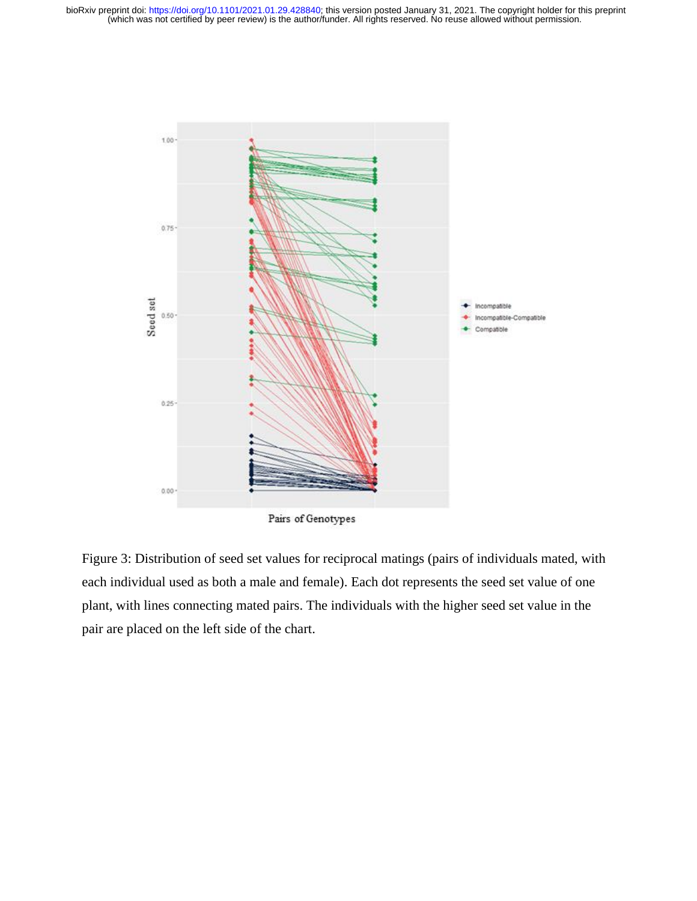

Figure 3: Distribution of seed set values for reciprocal matings (pairs of individuals mated, with each individual used as both a male and female). Each dot represents the seed set value of one plant, with lines connecting mated pairs. The individuals with the higher seed set value in the pair are placed on the left side of the chart.